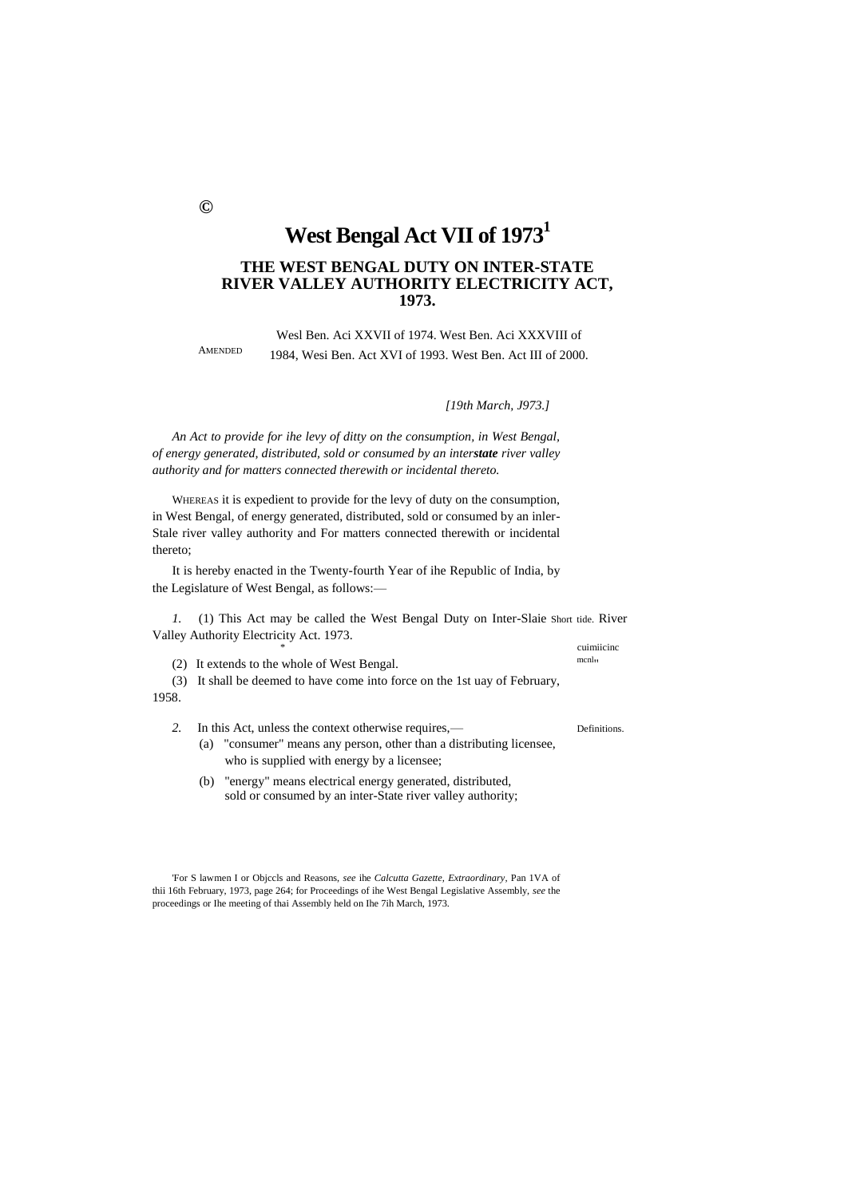# **West Bengal Act VII of 1973<sup>1</sup>**

# **THE WEST BENGAL DUTY ON INTER-STATE RIVER VALLEY AUTHORITY ELECTRICITY ACT, 1973.**

AMENDED Wesl Ben. Aci XXVII of 1974. West Ben. Aci XXXVIII of 1984, Wesi Ben. Act XVI of 1993. West Ben. Act III of 2000.

*[19th March, J973.]*

*An Act to provide for ihe levy of ditty on the consumption, in West Bengal, of energy generated, distributed, sold or consumed by an interstate river valley authority and for matters connected therewith or incidental thereto.*

WHEREAS it is expedient to provide for the levy of duty on the consumption, in West Bengal, of energy generated, distributed, sold or consumed by an inler-Stale river valley authority and For matters connected therewith or incidental thereto;

It is hereby enacted in the Twenty-fourth Year of ihe Republic of India, by the Legislature of West Bengal, as follows:—

*1.* (1) This Act may be called the West Bengal Duty on Inter-Slaie Short tide. River Valley Authority Electricity Act. 1973. cuimiicinc

(2) It extends to the whole of West Bengal. mcnlm mcnlm

(3) It shall be deemed to have come into force on the 1st uay of February, 1958.

- 2. In this Act, unless the context otherwise requires,— (a) "consumer" means any person, other than a distributing licensee, who is supplied with energy by a licensee;
	- (b) "energy" means electrical energy generated, distributed, sold or consumed by an inter-State river valley authority;

'For S lawmen I or Objccls and Reasons, *see* ihe *Calcutta Gazette, Extraordinary,* Pan 1VA of thii 16th February, 1973, page 264; for Proceedings of ihe West Bengal Legislative Assembly, *see* the proceedings or Ihe meeting of thai Assembly held on Ihe 7ih March, 1973.

**©**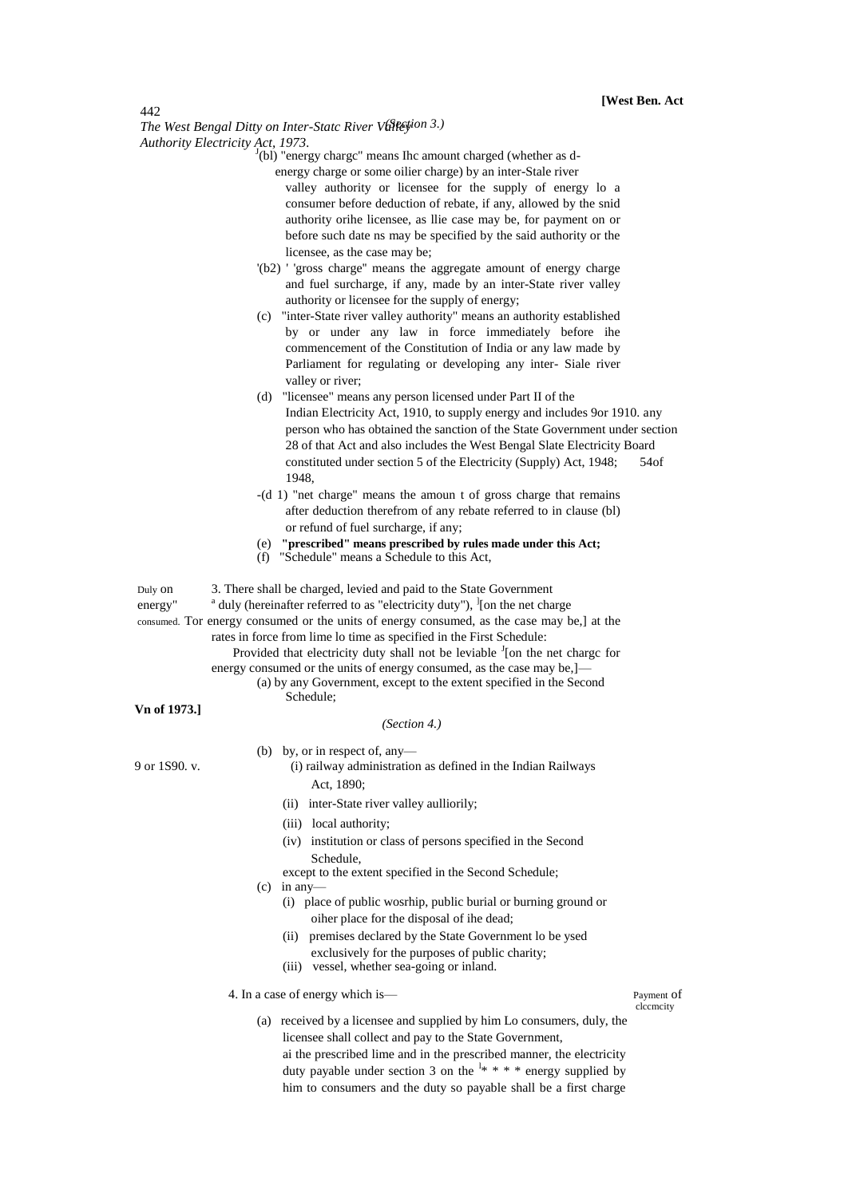442

**The West Bengal Ditty on Inter-Statc River Vallestion 3.)** *Authority Electricity Act, 1973.*

 $J(b)$  "energy chargc" means Ihc amount charged (whether as denergy charge or some oilier charge) by an inter-Stale river

valley authority or licensee for the supply of energy lo a consumer before deduction of rebate, if any, allowed by the snid authority orihe licensee, as llie case may be, for payment on or before such date ns may be specified by the said authority or the licensee, as the case may be;

- '(b2) ' 'gross charge'' means the aggregate amount of energy charge and fuel surcharge, if any, made by an inter-State river valley authority or licensee for the supply of energy;
- (c) "inter-State river valley authority" means an authority established by or under any law in force immediately before ihe commencement of the Constitution of India or any law made by Parliament for regulating or developing any inter- Siale river valley or river;
- (d) "licensee" means any person licensed under Part II of the Indian Electricity Act, 1910, to supply energy and includes 9or 1910. any person who has obtained the sanction of the State Government under section 28 of that Act and also includes the West Bengal Slate Electricity Board constituted under section 5 of the Electricity (Supply) Act, 1948; 54of 1948,
- -(d 1) "net charge" means the amoun t of gross charge that remains after deduction therefrom of any rebate referred to in clause (bl) or refund of fuel surcharge, if any;
- (e) **"prescribed" means prescribed by rules made under this Act;**
- (f) "Schedule" means a Schedule to this Act,

Duly on 3. There shall be charged, levied and paid to the State Government

energy" duly (hereinafter referred to as "electricity duty"), <sup>]</sup>[on the net charge

consumed. Tor energy consumed or the units of energy consumed, as the case may be,] at the rates in force from lime lo time as specified in the First Schedule:

> Provided that electricity duty shall not be leviable  $J$ [on the net chargc for energy consumed or the units of energy consumed, as the case may be,]-

(a) by any Government, except to the extent specified in the Second Schedule;

**Vn of 1973.]**

#### *(Section 4.)*

(b) by, or in respect of, any—

- 9 or 1S90. v. (i) railway administration as defined in the Indian Railways Act, 1890;
	- (ii) inter-State river valley aulliorily;
	- (iii) local authority;
	- (iv) institution or class of persons specified in the Second Schedule,
	- except to the extent specified in the Second Schedule;
	- $(c)$  in any-
		- (i) place of public wosrhip, public burial or burning ground or oiher place for the disposal of ihe dead;
		- (ii) premises declared by the State Government lo be ysed exclusively for the purposes of public charity;
		- (iii) vessel, whether sea-going or inland.

## 4. In a case of energy which is— Payment of

- (a) received by a licensee and supplied by him Lo consumers, duly, the licensee shall collect and pay to the State Government,
	- ai the prescribed lime and in the prescribed manner, the electricity duty payable under section 3 on the  $\frac{1*}{1*}$  \* \* \* energy supplied by him to consumers and the duty so payable shall be a first charge

clccmcity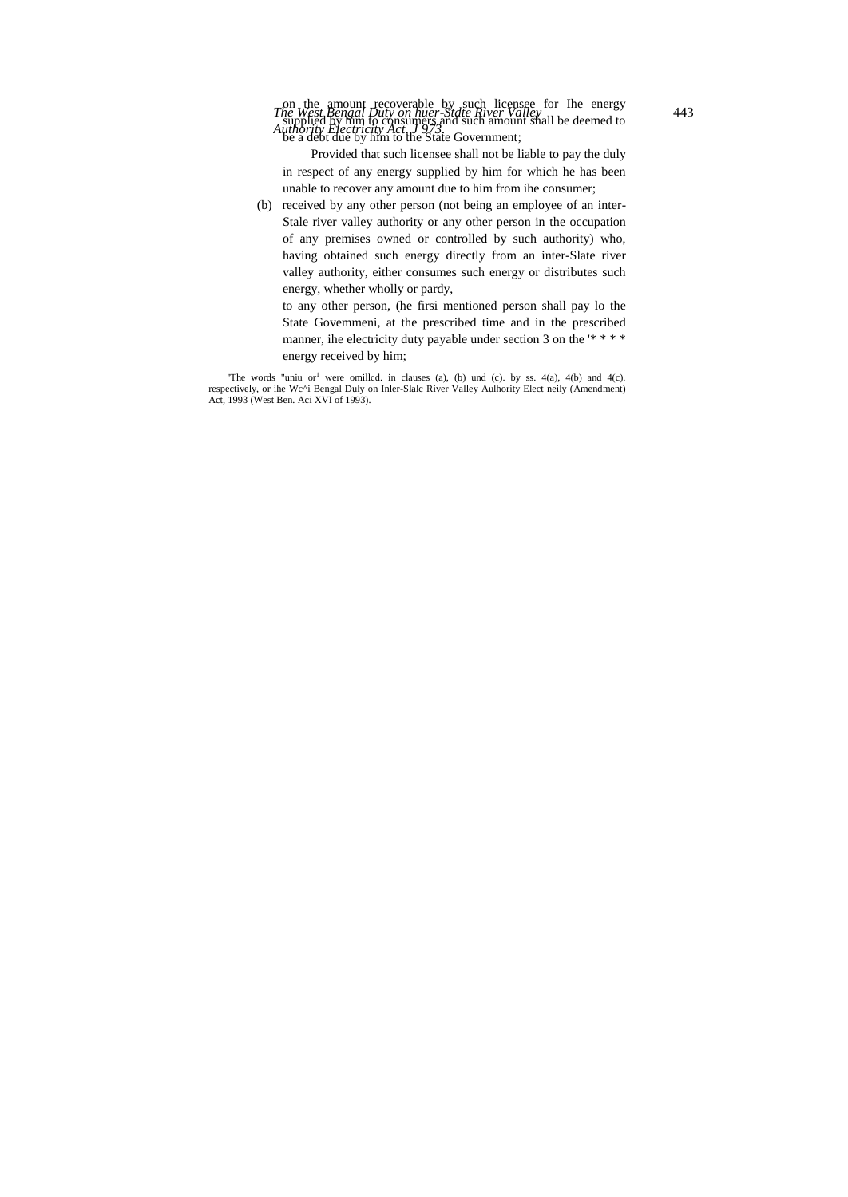Provided that such licensee shall not be liable to pay the duly in respect of any energy supplied by him for which he has been unable to recover any amount due to him from ihe consumer;

(b) received by any other person (not being an employee of an inter-Stale river valley authority or any other person in the occupation of any premises owned or controlled by such authority) who, having obtained such energy directly from an inter-Slate river valley authority, either consumes such energy or distributes such energy, whether wholly or pardy,

to any other person, (he firsi mentioned person shall pay lo the State Govemmeni, at the prescribed time and in the prescribed manner, ihe electricity duty payable under section 3 on the '\*\*\*\* energy received by him;

'The words "uniu or<sup>1</sup> were omilled. in clauses (a), (b) und (c). by ss. 4(a), 4(b) and 4(c). respectively, or ihe Wc^i Bengal Duly on Inler-Slalc River Valley Aulhority Elect neily (Amendment) Act, 1993 (West Ben. Aci XVI of 1993).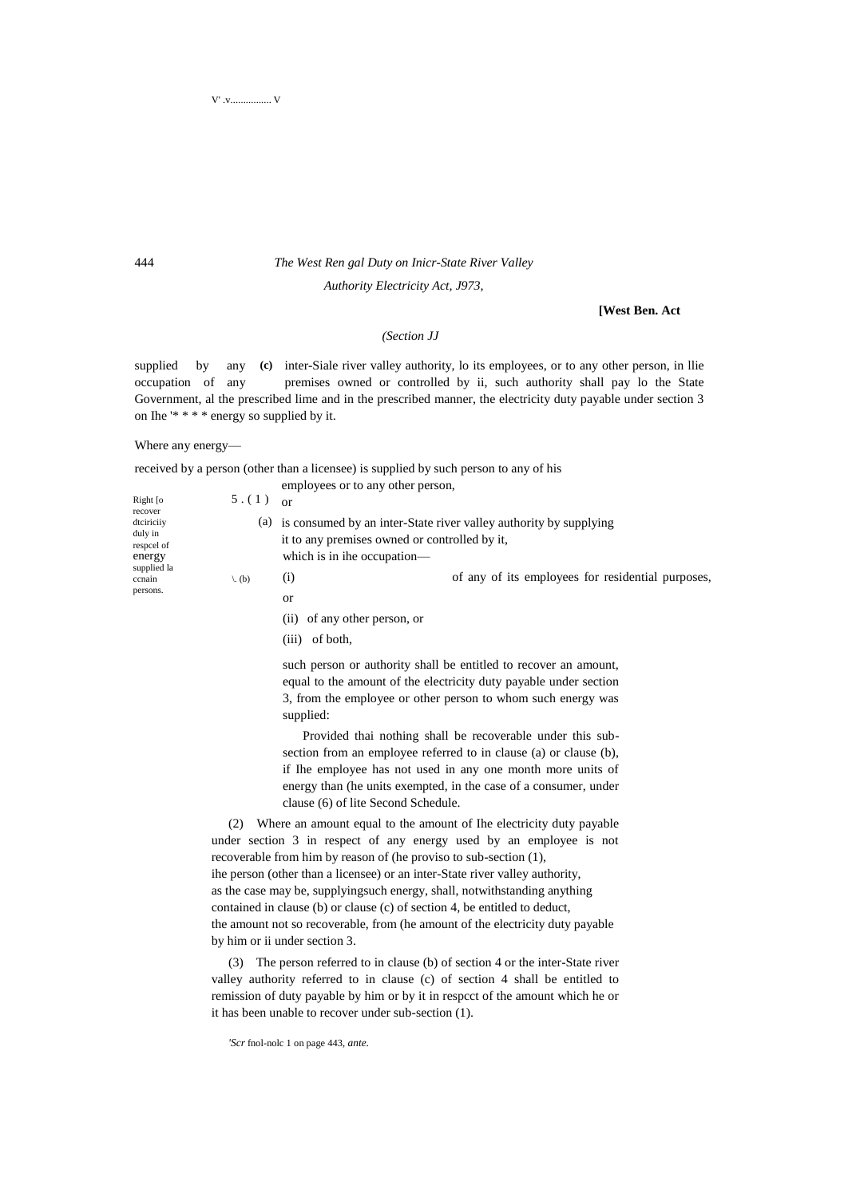# 444 *The West Ren gal Duty on Inicr-State River Valley*

*Authority Electricity Act, J973,*

## **[West Ben. Act**

# *(Section JJ*

supplied by any (c) inter-Siale river valley authority, lo its employees, or to any other person, in Ilie occupation of any premises owned or controlled by ii, such authority shall pay lo the State Government, al the prescribed lime and in the prescribed manner, the electricity duty payable under section 3 on Ihe '\* \* \* \* energy so supplied by it.

#### Where any energy—

received by a person (other than a licensee) is supplied by such person to any of his

|                                                                                                                   |                              | employees or to any other person,                                            |                                                                   |
|-------------------------------------------------------------------------------------------------------------------|------------------------------|------------------------------------------------------------------------------|-------------------------------------------------------------------|
| Right $\lceil$ o<br>recover<br>dtciriciiy<br>duly in<br>respeel of<br>energy<br>supplied la<br>ccnain<br>persons. | 5.(1)                        | $\alpha$ <sup>r</sup>                                                        |                                                                   |
|                                                                                                                   | (a)                          | it to any premises owned or controlled by it,<br>which is in the occupation— | is consumed by an inter-State river valley authority by supplying |
|                                                                                                                   | $\langle \cdot, (b) \rangle$ | $\rm(i)$                                                                     | of any of its employees for residential purposes,                 |
|                                                                                                                   |                              | <b>or</b>                                                                    |                                                                   |
|                                                                                                                   |                              | of any other person, or<br>(11)                                              |                                                                   |

(iii) of both,

such person or authority shall be entitled to recover an amount, equal to the amount of the electricity duty payable under section 3, from the employee or other person to whom such energy was supplied:

Provided thai nothing shall be recoverable under this subsection from an employee referred to in clause (a) or clause (b), if Ihe employee has not used in any one month more units of energy than (he units exempted, in the case of a consumer, under clause (6) of lite Second Schedule.

(2) Where an amount equal to the amount of Ihe electricity duty payable under section 3 in respect of any energy used by an employee is not recoverable from him by reason of (he proviso to sub-section (1), ihe person (other than a licensee) or an inter-State river valley authority, as the case may be, supplyingsuch energy, shall, notwithstanding anything contained in clause (b) or clause (c) of section 4, be entitled to deduct, the amount not so recoverable, from (he amount of the electricity duty payable by him or ii under section 3.

(3) The person referred to in clause (b) of section 4 or the inter-State river valley authority referred to in clause (c) of section 4 shall be entitled to remission of duty payable by him or by it in respcct of the amount which he or it has been unable to recover under sub-section (1).

*'Scr* fnol-nolc 1 on page 443, *ante.*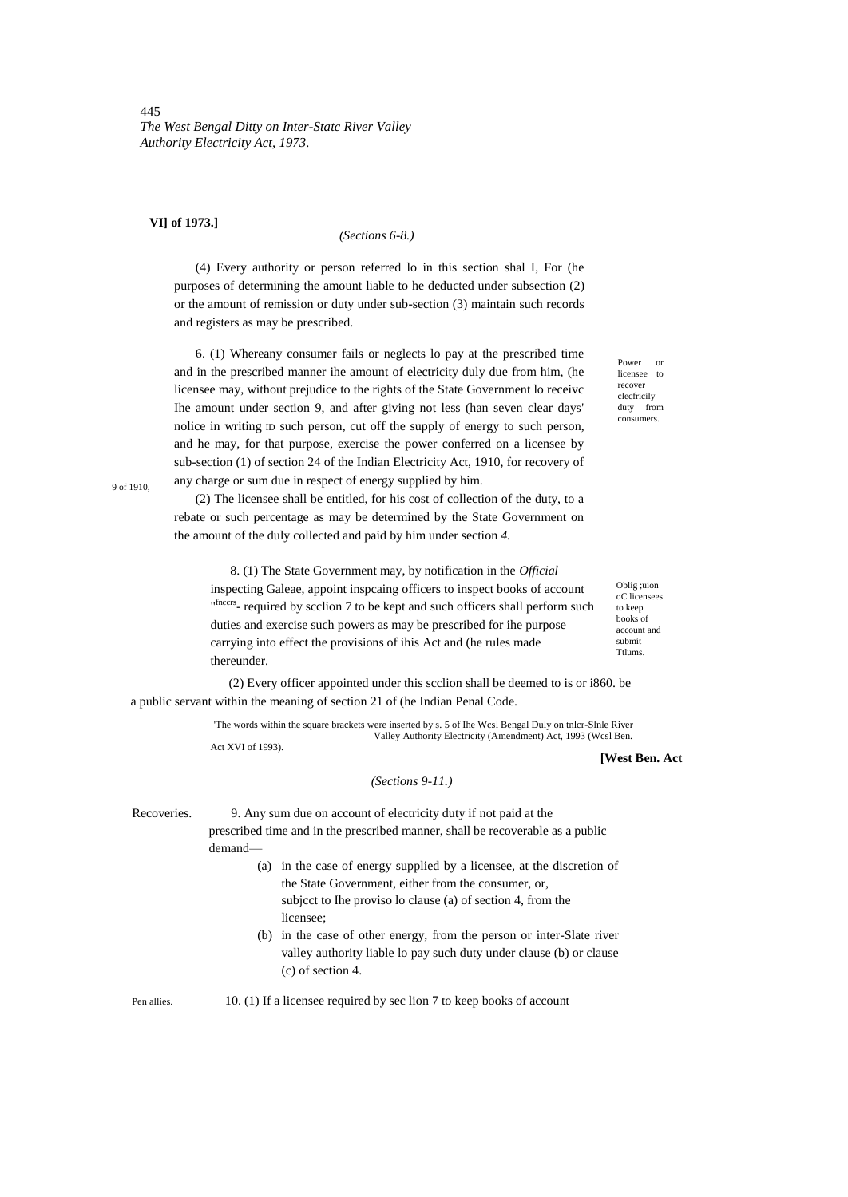# **VI] of 1973.]**

# *(Sections 6-8.)*

(4) Every authority or person referred lo in this section shal I, For (he purposes of determining the amount liable to he deducted under subsection (2) or the amount of remission or duty under sub-section (3) maintain such records and registers as may be prescribed.

6. (1) Whereany consumer fails or neglects lo pay at the prescribed time and in the prescribed manner ihe amount of electricity duly due from him, (he licensee may, without prejudice to the rights of the State Government lo receivc Ihe amount under section 9, and after giving not less (han seven clear days' nolice in writing ID such person, cut off the supply of energy to such person, and he may, for that purpose, exercise the power conferred on a licensee by sub-section (1) of section 24 of the Indian Electricity Act, 1910, for recovery of any charge or sum due in respect of energy supplied by him.

(2) The licensee shall be entitled, for his cost of collection of the duty, to a rebate or such percentage as may be determined by the State Government on the amount of the duly collected and paid by him under section *4.*

8. (1) The State Government may, by notification in the *Official* inspecting Galeae, appoint inspcaing officers to inspect books of account "finccrs- required by scclion 7 to be kept and such officers shall perform such duties and exercise such powers as may be prescribed for ihe purpose carrying into effect the provisions of ihis Act and (he rules made thereunder.

(2) Every officer appointed under this scclion shall be deemed to is or i860. be a public servant within the meaning of section 21 of (he Indian Penal Code.

> 'The words within the square brackets were inserted by s. 5 of Ihe Wcsl Bengal Duly on tnlcr-Slnle River Valley Authority Electricity (Amendment) Act, 1993 (Wcsl Ben. Act XVI of 1993).

**[West Ben. Act**

Oblig ;uion oC licensees to keep books of account and submit Ttlums.

#### *(Sections 9-11.)*

Recoveries. 9. Any sum due on account of electricity duty if not paid at the prescribed time and in the prescribed manner, shall be recoverable as a public demand—

> (a) in the case of energy supplied by a licensee, at the discretion of the State Government, either from the consumer, or, subjcct to Ihe proviso lo clause (a) of section 4, from the licensee;

(b) in the case of other energy, from the person or inter-Slate river valley authority liable lo pay such duty under clause (b) or clause (c) of section 4.

Pen allies. 10. (1) If a licensee required by sec lion 7 to keep books of account

Power or licensee to recover clecfricily duty from consumers.

9 of 1910,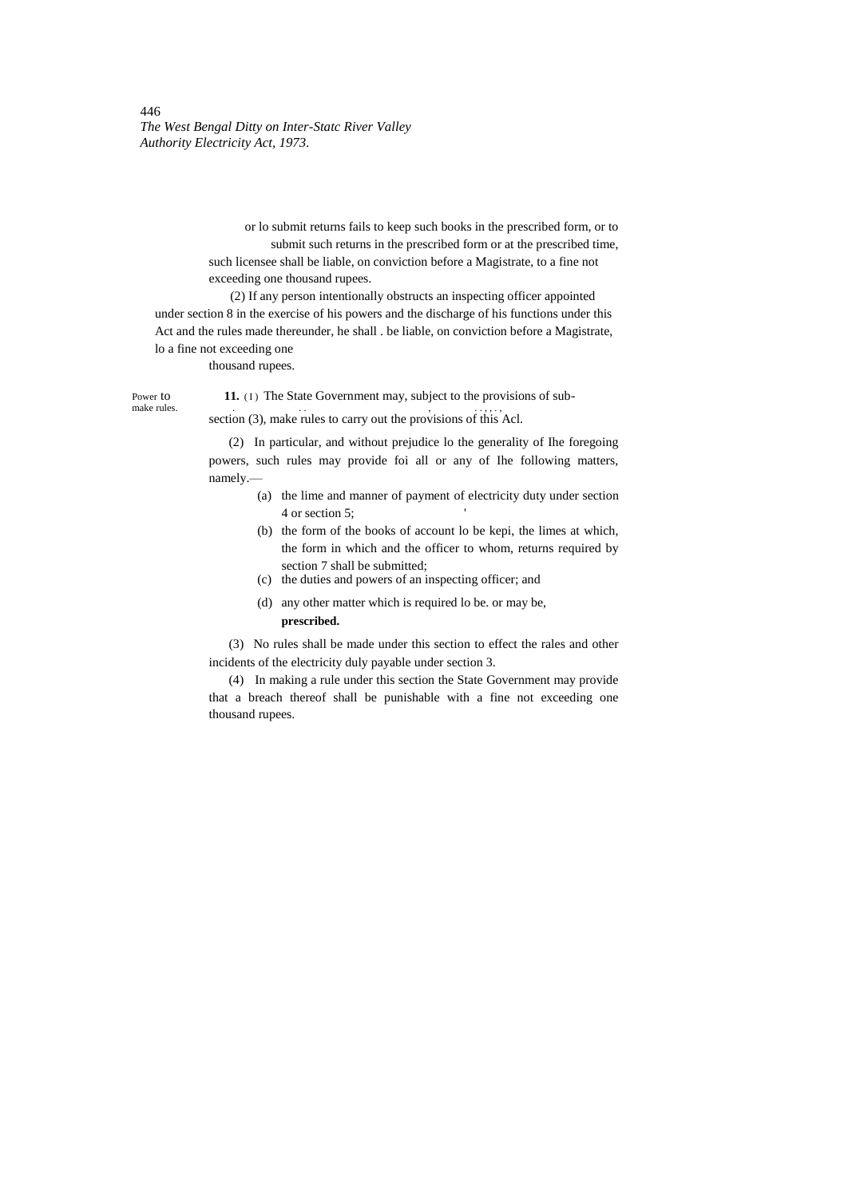> or lo submit returns fails to keep such books in the prescribed form, or to submit such returns in the prescribed form or at the prescribed time, such licensee shall be liable, on conviction before a Magistrate, to a fine not exceeding one thousand rupees.

(2) If any person intentionally obstructs an inspecting officer appointed under section 8 in the exercise of his powers and the discharge of his functions under this Act and the rules made thereunder, he shall . be liable, on conviction before a Magistrate, lo a fine not exceeding one

thousand rupees.

Power to **11.** (I) The State Government may, subject to the provisions of sub-<br>make rules.

make rules.<br>section (3), make rules to carry out the provisions of this Acl.

(2) In particular, and without prejudice lo the generality of Ihe foregoing powers, such rules may provide foi all or any of Ihe following matters, namely.—

- (a) the lime and manner of payment of electricity duty under section 4 or section 5; '
- (b) the form of the books of account lo be kepi, the limes at which, the form in which and the officer to whom, returns required by section 7 shall be submitted;
- (c) the duties and powers of an inspecting officer; and
- (d) any other matter which is required lo be. or may be,

# **prescribed.**

(3) No rules shall be made under this section to effect the rales and other incidents of the electricity duly payable under section 3.

(4) In making a rule under this section the State Government may provide that a breach thereof shall be punishable with a fine not exceeding one thousand rupees.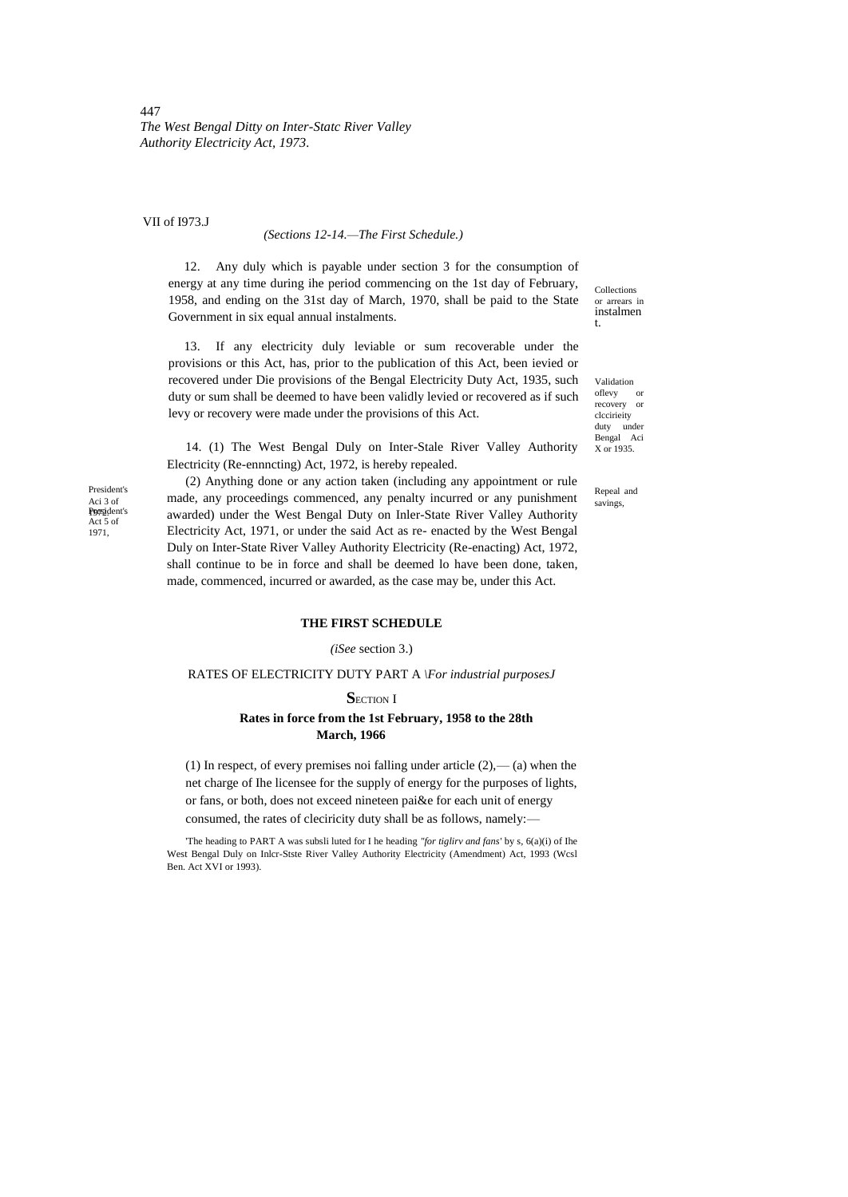VII of I973.J

#### *(Sections 12-14.—The First Schedule.)*

12. Any duly which is payable under section 3 for the consumption of energy at any time during ihe period commencing on the 1st day of February, 1958, and ending on the 31st day of March, 1970, shall be paid to the State Government in six equal annual instalments.

13. If any electricity duly leviable or sum recoverable under the provisions or this Act, has, prior to the publication of this Act, been ievied or recovered under Die provisions of the Bengal Electricity Duty Act, 1935, such duty or sum shall be deemed to have been validly levied or recovered as if such levy or recovery were made under the provisions of this Act.

14. (1) The West Bengal Duly on Inter-Stale River Valley Authority Electricity (Re-ennncting) Act, 1972, is hereby repealed.

Collections or arrears in instalmen t.

Validation oflevy or recovery or clccirieity duty under Bengal Aci  $X \text{ or } 1935.$ 

Repeal and savings,

Poesident's Act 5 of 1971, President's Aci 3 of

(2) Anything done or any action taken (including any appointment or rule made, any proceedings commenced, any penalty incurred or any punishment awarded) under the West Bengal Duty on Inler-State River Valley Authority Electricity Act, 1971, or under the said Act as re- enacted by the West Bengal Duly on Inter-State River Valley Authority Electricity (Re-enacting) Act, 1972, shall continue to be in force and shall be deemed lo have been done, taken, made, commenced, incurred or awarded, as the case may be, under this Act.

# **THE FIRST SCHEDULE**

#### *(iSee* section 3.)

## RATES OF ELECTRICITY DUTY PART A *\For industrial purposesJ*

**SECTION I** 

# **Rates in force from the 1st February, 1958 to the 28th March, 1966**

(1) In respect, of every premises noi falling under article  $(2)$ ,— $(a)$  when the net charge of Ihe licensee for the supply of energy for the purposes of lights, or fans, or both, does not exceed nineteen pai&e for each unit of energy consumed, the rates of cleciricity duty shall be as follows, namely:—

'The heading to PART A was subsli luted for I he heading *"for tiglirv and fans'* by s, 6(a)(i) of Ihe West Bengal Duly on Inlcr-Stste River Valley Authority Electricity (Amendment) Act, 1993 (Wcsl Ben. Act XVI or 1993).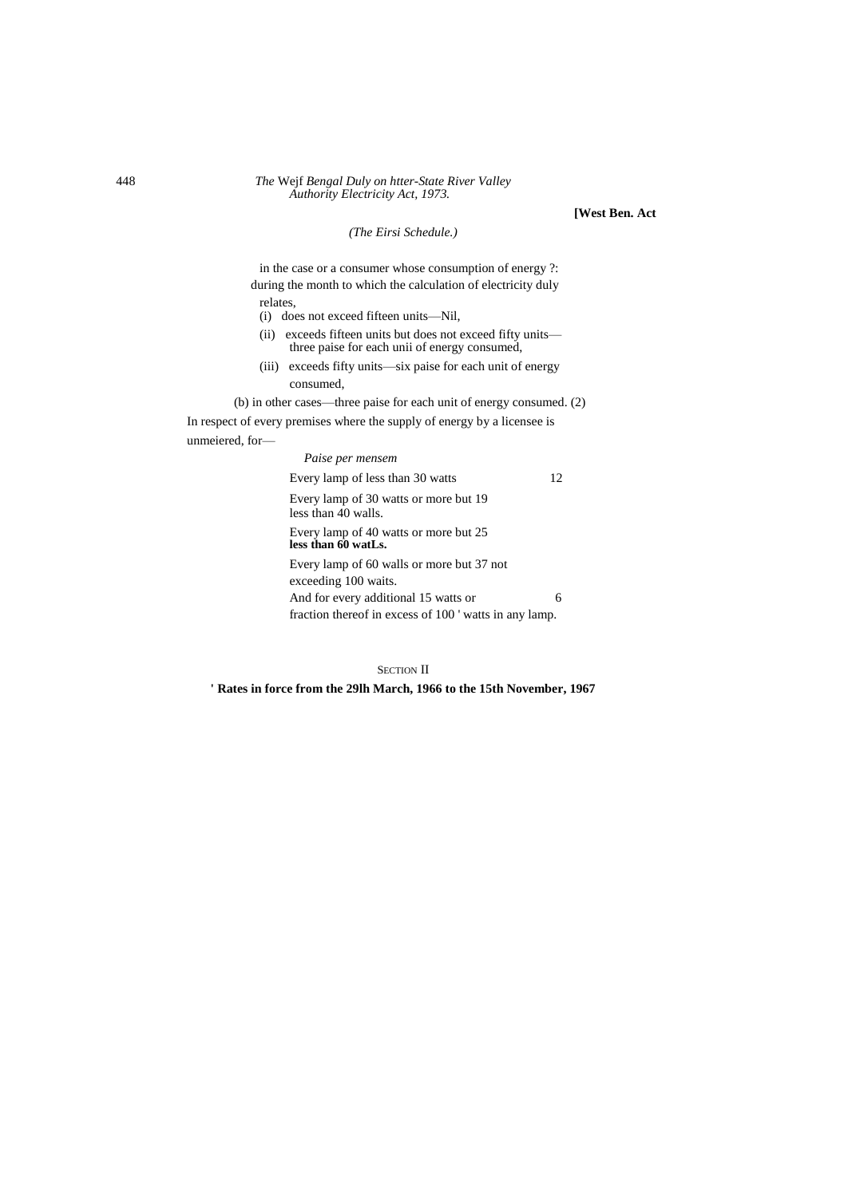**[West Ben. Act**

*(The Eirsi Schedule.)*

in the case or a consumer whose consumption of energy ?: during the month to which the calculation of electricity duly relates,

(i) does not exceed fifteen units—Nil,

- (ii) exceeds fifteen units but does not exceed fifty units three paise for each unii of energy consumed,
- (iii) exceeds fifty units—six paise for each unit of energy consumed,

(b) in other cases—three paise for each unit of energy consumed. (2) In respect of every premises where the supply of energy by a licensee is unmeiered, for—

> *Paise per mensem* Every lamp of less than 30 watts 12 Every lamp of 30 watts or more but 19 less than 40 walls. Every lamp of 40 watts or more but 25 **less than 60 watLs.** Every lamp of 60 walls or more but 37 not exceeding 100 waits. And for every additional 15 watts or 6 fraction thereof in excess of 100 ' watts in any lamp.

> > SECTION II

**' Rates in force from the 29lh March, 1966 to the 15th November, 1967**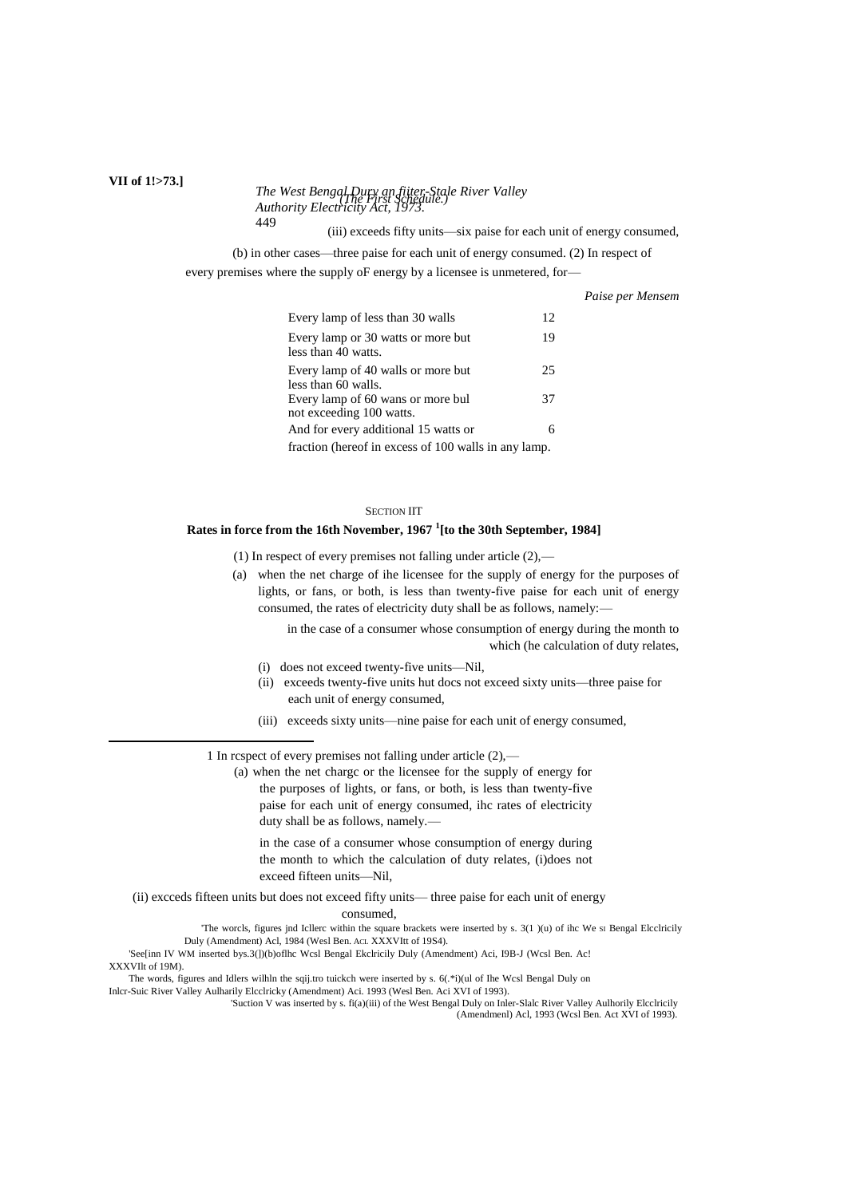#### *The West Bengal Dury an fiiter-Stale River Valley Authority Electricity Act, 1973. (The First Schedule.)* 449

(iii) exceeds fifty units—six paise for each unit of energy consumed,

*Paise per Mensem*

(b) in other cases—three paise for each unit of energy consumed. (2) In respect of

every premises where the supply oF energy by a licensee is unmetered, for—

| Every lamp of less than 30 walls                          | 12. |  |  |
|-----------------------------------------------------------|-----|--|--|
| Every lamp or 30 watts or more but<br>less than 40 watts. | 19  |  |  |
| Every lamp of 40 walls or more but                        | 25  |  |  |
| less than 60 walls.                                       |     |  |  |
| Every lamp of 60 wans or more bul                         | 37  |  |  |
| not exceeding 100 watts.                                  |     |  |  |
| And for every additional 15 watts or                      | 6   |  |  |
| fraction (hereof in excess of 100 walls in any lamp.      |     |  |  |

#### SECTION IIT

# **Rates in force from the 16th November, 1967 <sup>1</sup> [to the 30th September, 1984]**

(1) In respect of every premises not falling under article (2),—

(a) when the net charge of ihe licensee for the supply of energy for the purposes of lights, or fans, or both, is less than twenty-five paise for each unit of energy consumed, the rates of electricity duty shall be as follows, namely:—

> in the case of a consumer whose consumption of energy during the month to which (he calculation of duty relates,

- (i) does not exceed twenty-five units—Nil,
- (ii) exceeds twenty-five units hut docs not exceed sixty units—three paise for each unit of energy consumed,
- (iii) exceeds sixty units—nine paise for each unit of energy consumed,

1 In rcspect of every premises not falling under article (2),—

(a) when the net chargc or the licensee for the supply of energy for the purposes of lights, or fans, or both, is less than twenty-five paise for each unit of energy consumed, ihc rates of electricity duty shall be as follows, namely.—

in the case of a consumer whose consumption of energy during the month to which the calculation of duty relates, (i)does not exceed fifteen units—Nil,

(ii) excceds fifteen units but does not exceed fifty units— three paise for each unit of energy consumed,

> 'The worcls, figures jnd Icllerc within the square brackets were inserted by s. 3(1 )(u) of ihc We SI Bengal Elcclricily Duly (Amendment) Acl, 1984 (Wesl Ben. ACL XXXVItt of 19S4).

'See[inn IV WM inserted bys.3(])(b)oflhc Wcsl Bengal Ekclricily Duly (Amendment) Aci, I9B-J (Wcsl Ben. Ac! XXXVIlt of 19M).

The words, figures and Idlers wilhln the sqij.tro tuickch were inserted by s. 6(.\*i)(ul of Ihe Wcsl Bengal Duly on

Inlcr-Suic River Valley Aulharily Elcclricky (Amendment) Aci. 1993 (Wesl Ben. Aci XVI of 1993). 'Suction V was inserted by s. fi(a)(iii) of the West Bengal Duly on Inler-Slalc River Valley Aulhorily Elcclricily

(Amendmenl) Acl, 1993 (Wcsl Ben. Act XVI of 1993).

# **VII of 1!>73.]**

 $\overline{a}$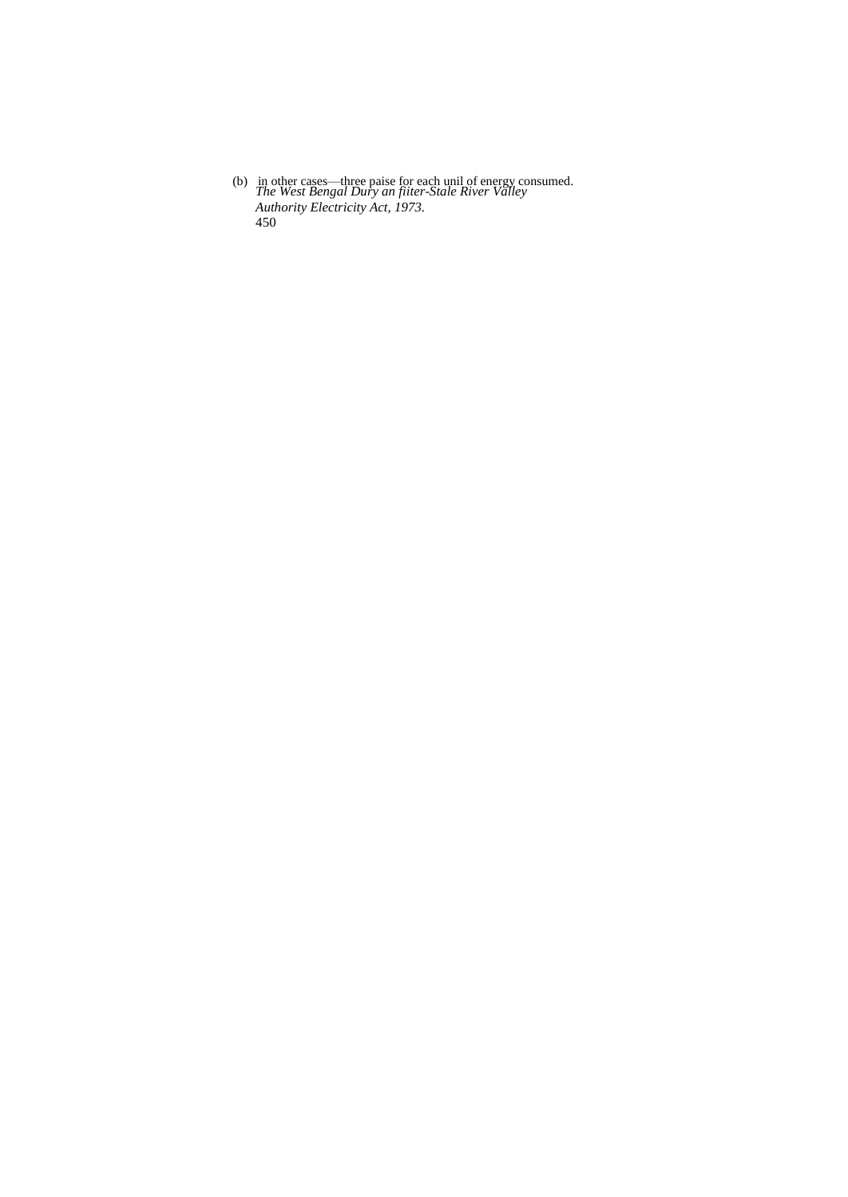*The West Bengal Dury an fiiter-Stale River Valley Authority Electricity Act, 1973.* 450 (b) in other cases—three paise for each unil of energy consumed.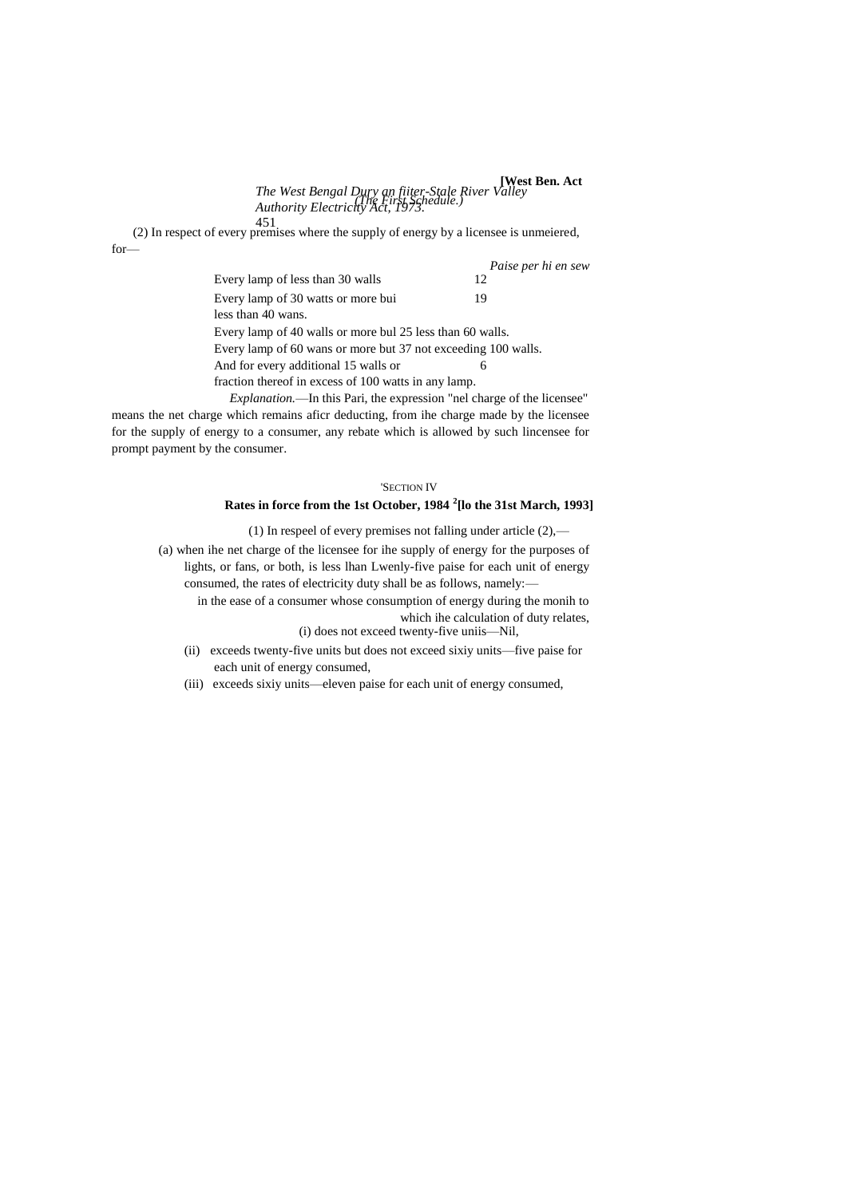*The West Bengal Dury an fiiter-Stale River Valley Authority Electricity Act, 1973.* **[West Ben. Act** *(The First Schedule.)*

451 (2) In respect of every premises where the supply of energy by a licensee is unmeiered, for—

|                                                                   | Paise per hi en sew |  |  |
|-------------------------------------------------------------------|---------------------|--|--|
| Every lamp of less than 30 walls                                  | 12                  |  |  |
| Every lamp of 30 watts or more bui                                | 19                  |  |  |
| less than 40 wans.                                                |                     |  |  |
| Every lamp of 40 walls or more bul 25 less than 60 walls.         |                     |  |  |
| Every lamp of 60 wans or more but 37 not exceeding 100 walls.     |                     |  |  |
| And for every additional 15 walls or                              | 6                   |  |  |
| fraction thereof in excess of 100 watts in any lamp.              |                     |  |  |
| European in this Dani the expression "not eherge of the licenses" |                     |  |  |

*Explanation.*—In this Pari, the expression "nel charge of the licensee means the net charge which remains aficr deducting, from ihe charge made by the licensee for the supply of energy to a consumer, any rebate which is allowed by such lincensee for prompt payment by the consumer.

#### 'SECTION IV

# **Rates in force from the 1st October, 1984 <sup>2</sup> [lo the 31st March, 1993]**

(1) In respeel of every premises not falling under article  $(2)$ ,—

- (a) when ihe net charge of the licensee for ihe supply of energy for the purposes of lights, or fans, or both, is less lhan Lwenly-five paise for each unit of energy consumed, the rates of electricity duty shall be as follows, namely: in the ease of a consumer whose consumption of energy during the monih to
	- which ihe calculation of duty relates, (i) does not exceed twenty-five uniis—Nil,
	- (ii) exceeds twenty-five units but does not exceed sixiy units—five paise for each unit of energy consumed,
	- (iii) exceeds sixiy units—eleven paise for each unit of energy consumed,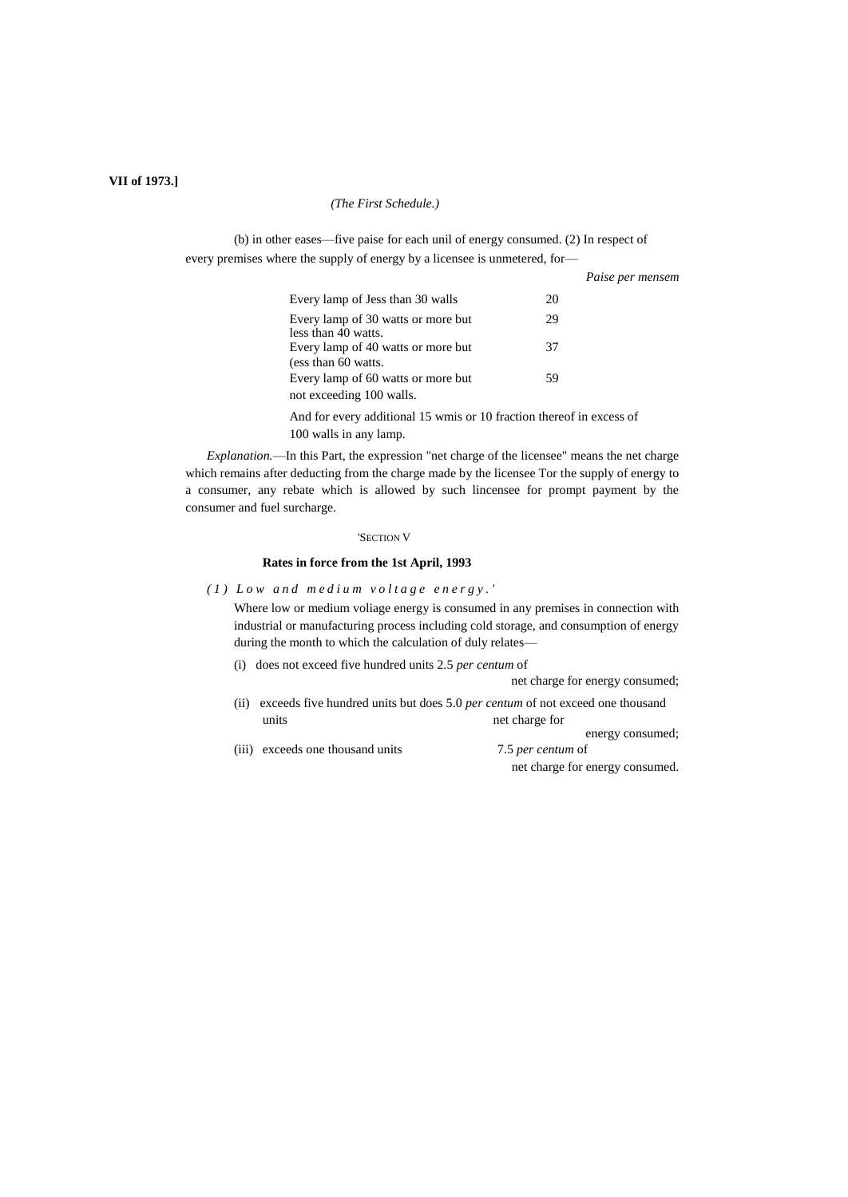# **VII of 1973.]**

#### *(The First Schedule.)*

(b) in other eases—five paise for each unil of energy consumed. (2) In respect of every premises where the supply of energy by a licensee is unmetered, for—

|                                                                      | Paise per mensem |  |
|----------------------------------------------------------------------|------------------|--|
| Every lamp of Jess than 30 walls                                     | 20               |  |
| Every lamp of 30 watts or more but<br>less than 40 watts.            | 29               |  |
| Every lamp of 40 watts or more but<br>(ess than 60 watts.            | 37               |  |
| Every lamp of 60 watts or more but<br>not exceeding 100 walls.       | 59               |  |
| And for every additional 15 wmis or 10 fraction thereof in excess of |                  |  |

*Explanation.*—In this Part, the expression "net charge of the licensee" means the net charge which remains after deducting from the charge made by the licensee Tor the supply of energy to a consumer, any rebate which is allowed by such lincensee for prompt payment by the consumer and fuel surcharge.

#### 'SECTION V

#### **Rates in force from the 1st April, 1993**

*( 1 ) L o w a n d m e d i u m v o l t a g e e n e r g y . '*

100 walls in any lamp.

Where low or medium voliage energy is consumed in any premises in connection with industrial or manufacturing process including cold storage, and consumption of energy during the month to which the calculation of duly relates—

(i) does not exceed five hundred units 2.5 *per centum* of

net charge for energy consumed;

energy consumed;

- (ii) exceeds five hundred units but does 5.0 *per centum* of not exceed one thousand units net charge for
- (iii) exceeds one thousand units 7.5 *per centum* of net charge for energy consumed.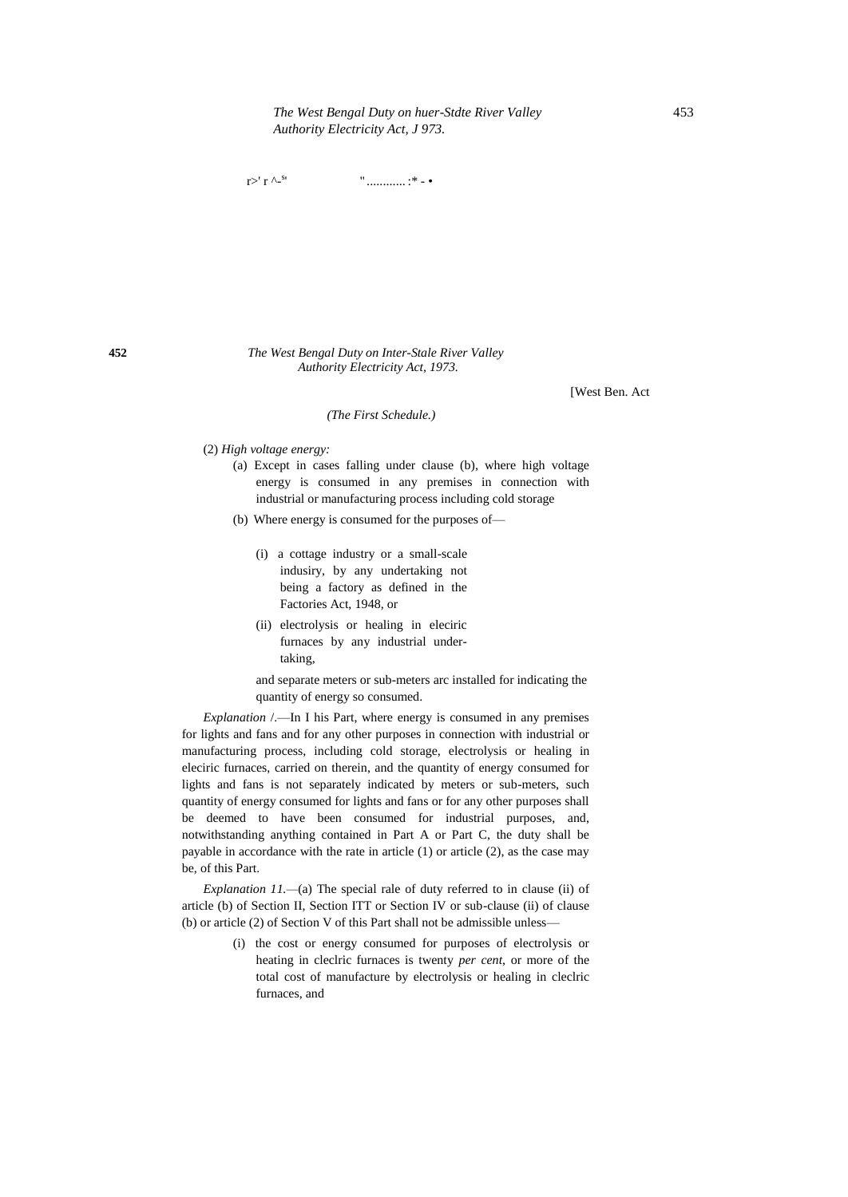r>' r ^- $s$ ' " ............ :\* - •

**452** *The West Bengal Duty on Inter-Stale River Valley Authority Electricity Act, 1973.*

[West Ben. Act

*(The First Schedule.)*

- (2) *High voltage energy:*
	- (a) Except in cases falling under clause (b), where high voltage energy is consumed in any premises in connection with industrial or manufacturing process including cold storage
	- (b) Where energy is consumed for the purposes of—
		- (i) a cottage industry or a small-scale indusiry, by any undertaking not being a factory as defined in the Factories Act, 1948, or
		- (ii) electrolysis or healing in eleciric furnaces by any industrial undertaking,

and separate meters or sub-meters arc installed for indicating the quantity of energy so consumed.

*Explanation* /.—In I his Part, where energy is consumed in any premises for lights and fans and for any other purposes in connection with industrial or manufacturing process, including cold storage, electrolysis or healing in eleciric furnaces, carried on therein, and the quantity of energy consumed for lights and fans is not separately indicated by meters or sub-meters, such quantity of energy consumed for lights and fans or for any other purposes shall be deemed to have been consumed for industrial purposes, and, notwithstanding anything contained in Part A or Part C, the duty shall be payable in accordance with the rate in article (1) or article (2), as the case may be, of this Part.

*Explanation 11.—*(a) The special rale of duty referred to in clause (ii) of article (b) of Section II, Section ITT or Section IV or sub-clause (ii) of clause (b) or article (2) of Section V of this Part shall not be admissible unless—

> (i) the cost or energy consumed for purposes of electrolysis or heating in cleclric furnaces is twenty *per cent,* or more of the total cost of manufacture by electrolysis or healing in cleclric furnaces, and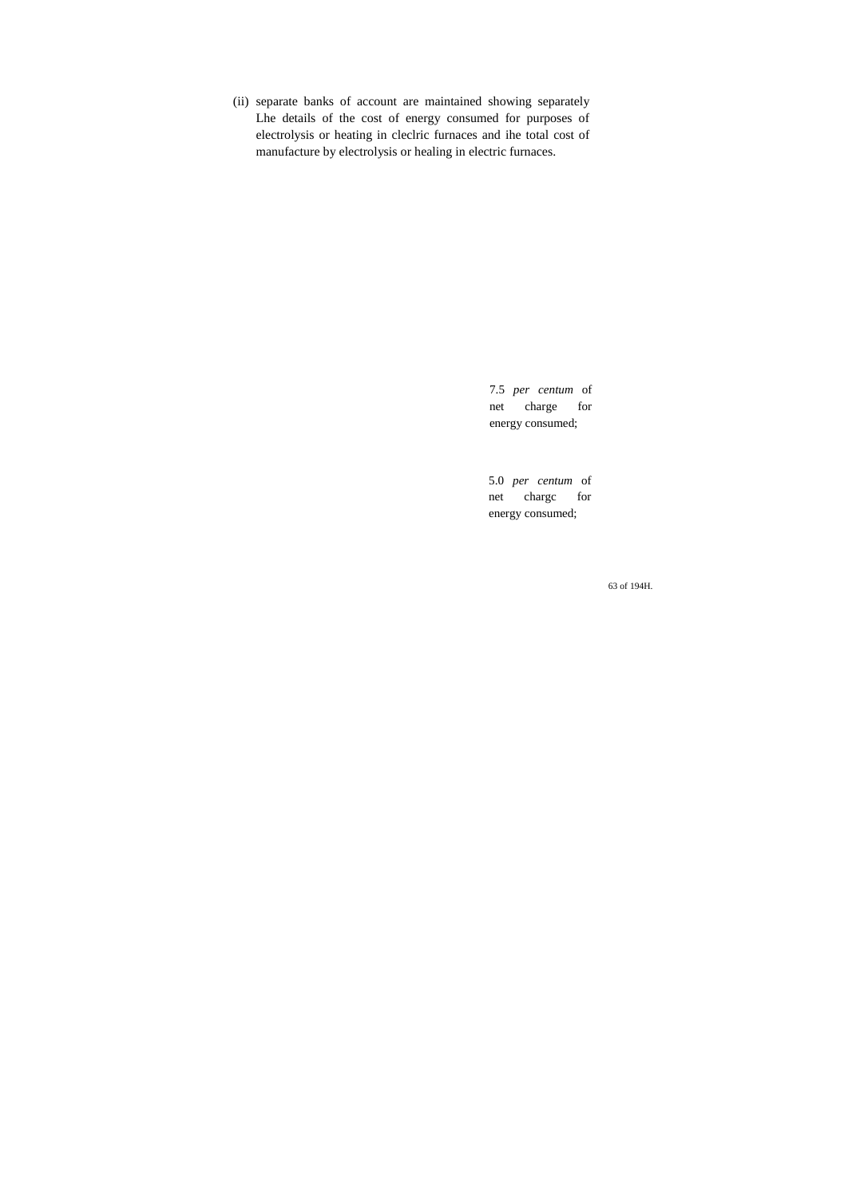(ii) separate banks of account are maintained showing separately Lhe details of the cost of energy consumed for purposes of electrolysis or heating in cleclric furnaces and ihe total cost of manufacture by electrolysis or healing in electric furnaces.

> 7.5 *per centum* of net charge for energy consumed;

> 5.0 *per centum* of net chargc for energy consumed;

> > 63 of 194H.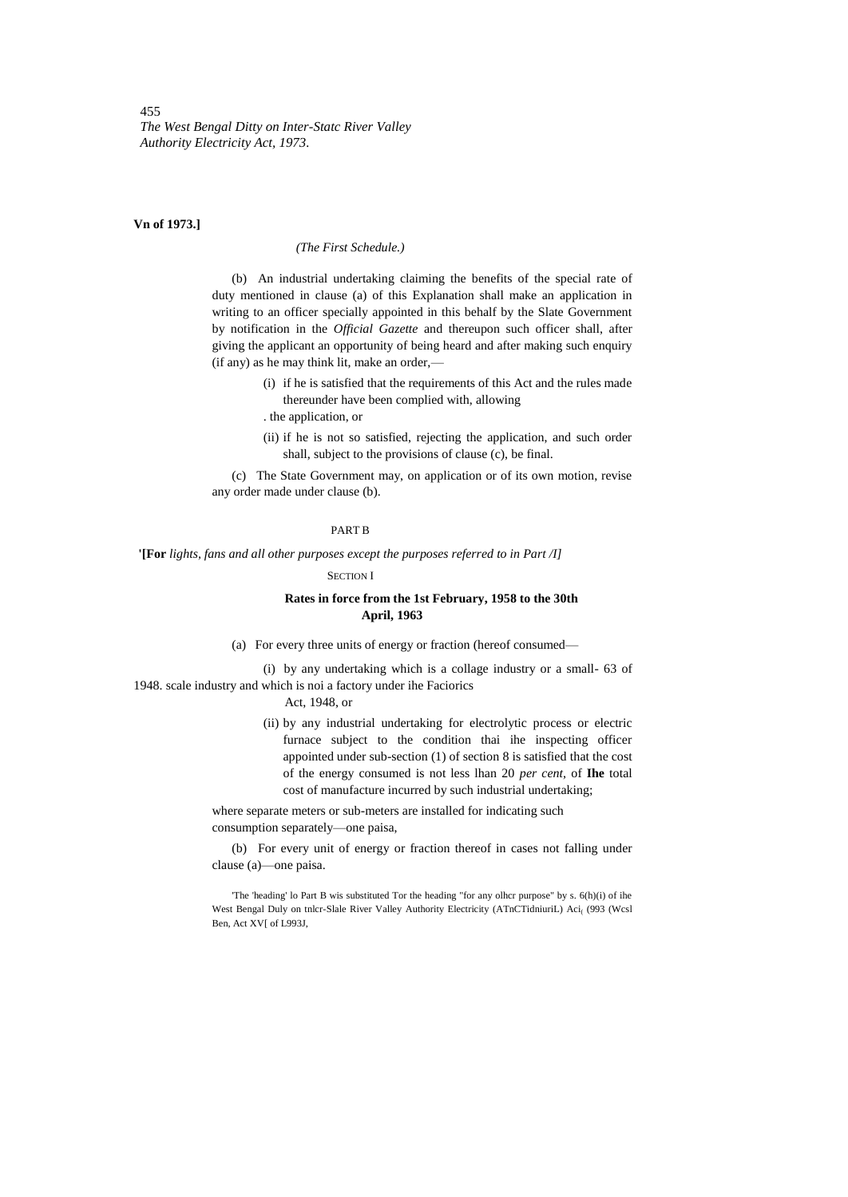#### **Vn of 1973.]**

#### *(The First Schedule.)*

(b) An industrial undertaking claiming the benefits of the special rate of duty mentioned in clause (a) of this Explanation shall make an application in writing to an officer specially appointed in this behalf by the Slate Government by notification in the *Official Gazette* and thereupon such officer shall, after giving the applicant an opportunity of being heard and after making such enquiry (if any) as he may think lit, make an order,—

- (i) if he is satisfied that the requirements of this Act and the rules made thereunder have been complied with, allowing
- . the application, or
- (ii) if he is not so satisfied, rejecting the application, and such order shall, subject to the provisions of clause (c), be final.

(c) The State Government may, on application or of its own motion, revise any order made under clause (b).

#### PART B

**'[For** *lights, fans and all other purposes except the purposes referred to in Part /I]*

## SECTION I

# **Rates in force from the 1st February, 1958 to the 30th April, 1963**

(a) For every three units of energy or fraction (hereof consumed—

(i) by any undertaking which is a collage industry or a small- 63 of 1948. scale industry and which is noi a factory under ihe Faciorics

#### Act, 1948, or

(ii) by any industrial undertaking for electrolytic process or electric furnace subject to the condition thai ihe inspecting officer appointed under sub-section (1) of section 8 is satisfied that the cost of the energy consumed is not less lhan 20 *per cent,* of **Ihe** total cost of manufacture incurred by such industrial undertaking;

where separate meters or sub-meters are installed for indicating such consumption separately—one paisa,

(b) For every unit of energy or fraction thereof in cases not falling under clause (a)—one paisa.

'The 'heading' lo Part B wis substituted Tor the heading "for any olhcr purpose" by s. 6(h)(i) of ihe West Bengal Duly on tnlcr-Slale River Valley Authority Electricity (ATnCTidniuriL) Aci<sub>(</sub> (993 (Wcsl Ben, Act XV[ of L993J,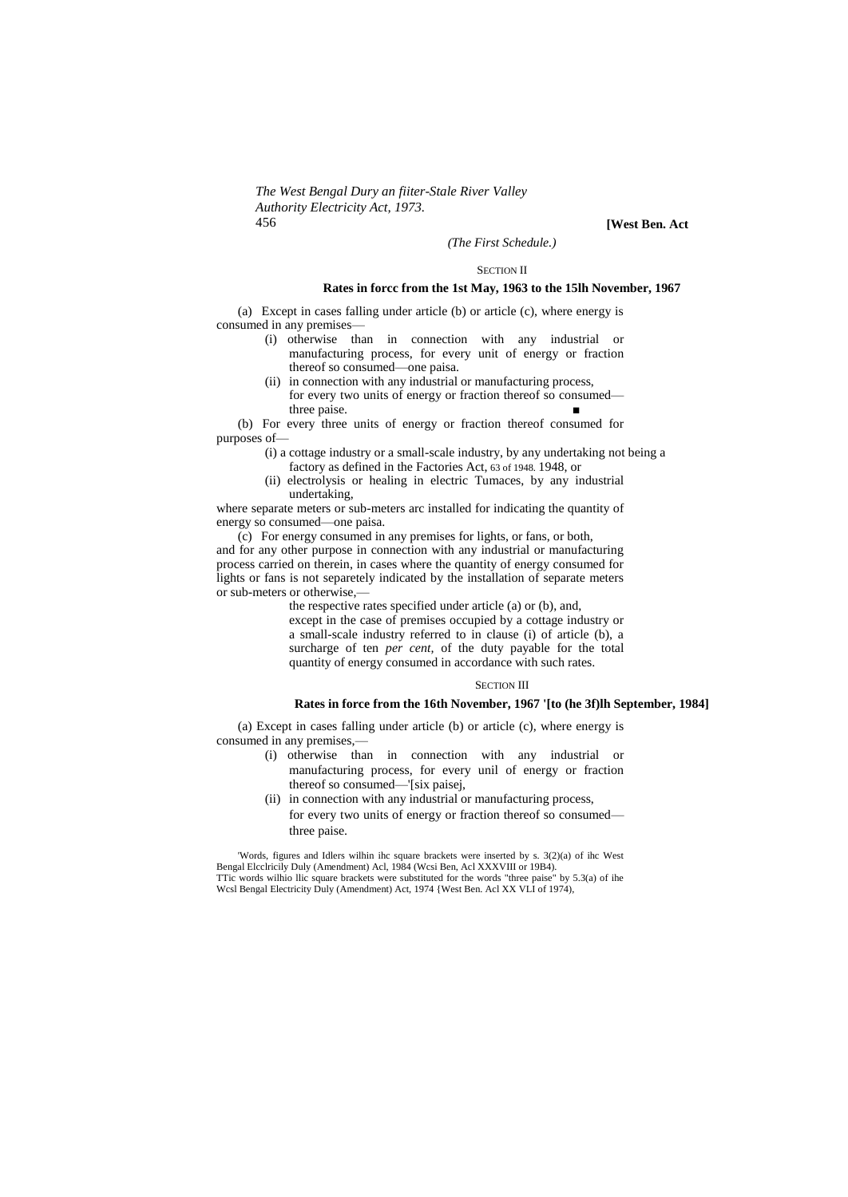*The West Bengal Dury an fiiter-Stale River Valley Authority Electricity Act, 1973.* 456 **[West Ben. Act**

# *(The First Schedule.)* SECTION II

#### **Rates in forcc from the 1st May, 1963 to the 15lh November, 1967**

(a) Except in cases falling under article (b) or article (c), where energy is consumed in any premises—

- (i) otherwise than in connection with any industrial or manufacturing process, for every unit of energy or fraction thereof so consumed—one paisa.
- (ii) in connection with any industrial or manufacturing process, for every two units of energy or fraction thereof so consumed three paise.

(b) For every three units of energy or fraction thereof consumed for purposes of—

- (i) a cottage industry or a small-scale industry, by any undertaking not being a factory as defined in the Factories Act, 63 of 1948. 1948, or
- (ii) electrolysis or healing in electric Tumaces, by any industrial undertaking,

where separate meters or sub-meters arc installed for indicating the quantity of energy so consumed—one paisa.

(c) For energy consumed in any premises for lights, or fans, or both, and for any other purpose in connection with any industrial or manufacturing process carried on therein, in cases where the quantity of energy consumed for lights or fans is not separetely indicated by the installation of separate meters or sub-meters or otherwise,—

the respective rates specified under article (a) or (b), and,

except in the case of premises occupied by a cottage industry or a small-scale industry referred to in clause (i) of article (b), a surcharge of ten *per cent*, of the duty payable for the total quantity of energy consumed in accordance with such rates.

#### SECTION III

## **Rates in force from the 16th November, 1967 '[to (he 3f)lh September, 1984]**

(a) Except in cases falling under article (b) or article (c), where energy is consumed in any premises,—

- (i) otherwise than in connection with any industrial or manufacturing process, for every unil of energy or fraction thereof so consumed—'[six paisej,
- (ii) in connection with any industrial or manufacturing process, for every two units of energy or fraction thereof so consumed three paise.

'Words, figures and Idlers wilhin ihc square brackets were inserted by s. 3(2)(a) of ihc West Bengal Elcclricily Duly (Amendment) Acl, 1984 (Wcsi Ben, Acl XXXVIII or 19B4). TTic words wilhio llic square brackets were substituted for the words "three paise" by 5.3(a) of ihe Wcsl Bengal Electricity Duly (Amendment) Act, 1974 {West Ben. Acl XX VLI of 1974),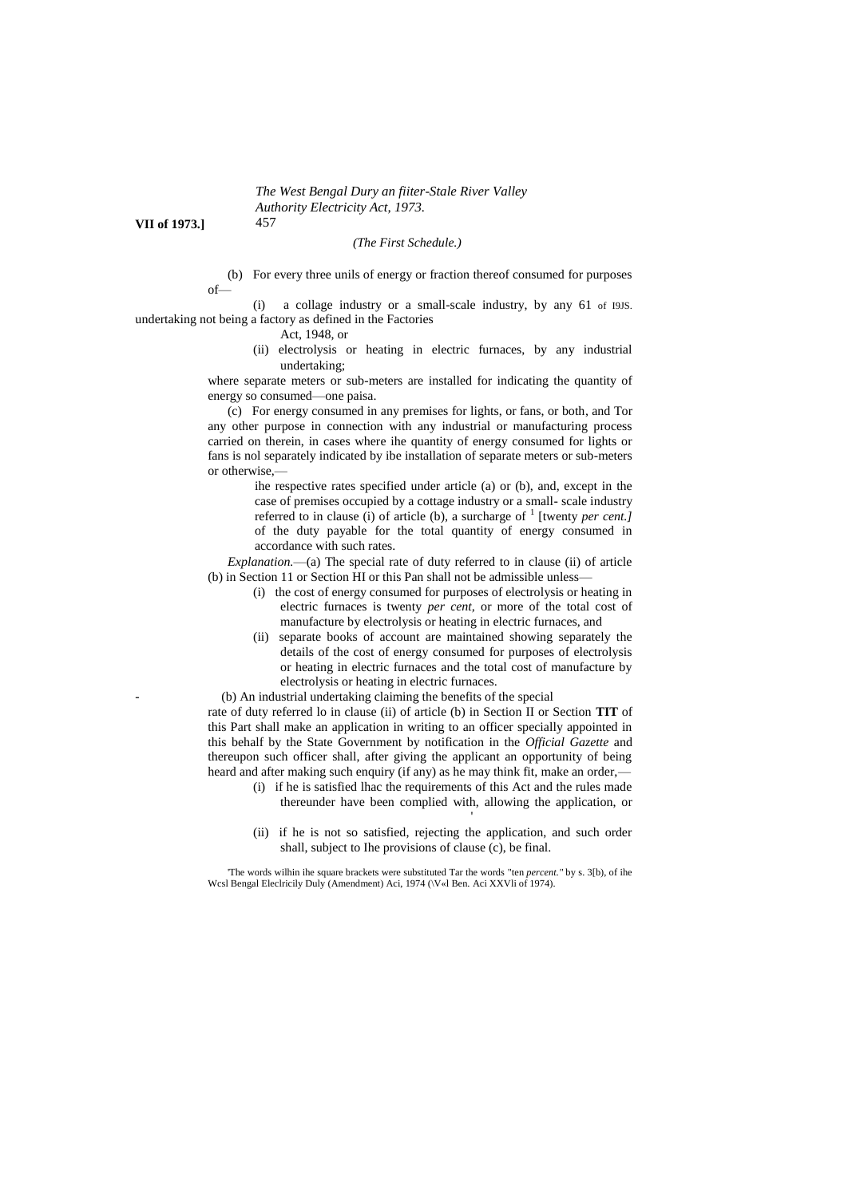**VII of 1973.]** 457

## *(The First Schedule.)*

(b) For every three unils of energy or fraction thereof consumed for purposes of—

(i) a collage industry or a small-scale industry, by any 61 of I9JS. undertaking not being a factory as defined in the Factories

- Act, 1948, or
- (ii) electrolysis or heating in electric furnaces, by any industrial undertaking;

where separate meters or sub-meters are installed for indicating the quantity of energy so consumed—one paisa.

(c) For energy consumed in any premises for lights, or fans, or both, and Tor any other purpose in connection with any industrial or manufacturing process carried on therein, in cases where ihe quantity of energy consumed for lights or fans is nol separately indicated by ibe installation of separate meters or sub-meters or otherwise,—

> ihe respective rates specified under article (a) or (b), and, except in the case of premises occupied by a cottage industry or a small- scale industry referred to in clause (i) of article (b), a surcharge of <sup>1</sup> [twenty *per cent.]* of the duty payable for the total quantity of energy consumed in accordance with such rates.

*Explanation.*—(a) The special rate of duty referred to in clause (ii) of article (b) in Section 11 or Section HI or this Pan shall not be admissible unless—

- (i) the cost of energy consumed for purposes of electrolysis or heating in electric furnaces is twenty *per cent,* or more of the total cost of manufacture by electrolysis or heating in electric furnaces, and
- (ii) separate books of account are maintained showing separately the details of the cost of energy consumed for purposes of electrolysis or heating in electric furnaces and the total cost of manufacture by electrolysis or heating in electric furnaces.

- (b) An industrial undertaking claiming the benefits of the special

rate of duty referred lo in clause (ii) of article (b) in Section II or Section **TIT** of this Part shall make an application in writing to an officer specially appointed in this behalf by the State Government by notification in the *Official Gazette* and thereupon such officer shall, after giving the applicant an opportunity of being heard and after making such enquiry (if any) as he may think fit, make an order,—

> (i) if he is satisfied lhac the requirements of this Act and the rules made thereunder have been complied with, allowing the application, or

> > '

(ii) if he is not so satisfied, rejecting the application, and such order shall, subject to Ihe provisions of clause (c), be final.

'The words wilhin ihe square brackets were substituted Tar the words "ten *percent."* by s. 3[b), of ihe Wcsl Bengal Eleclricily Duly (Amendment) Aci, 1974 (\V«l Ben. Aci XXVIi of 1974).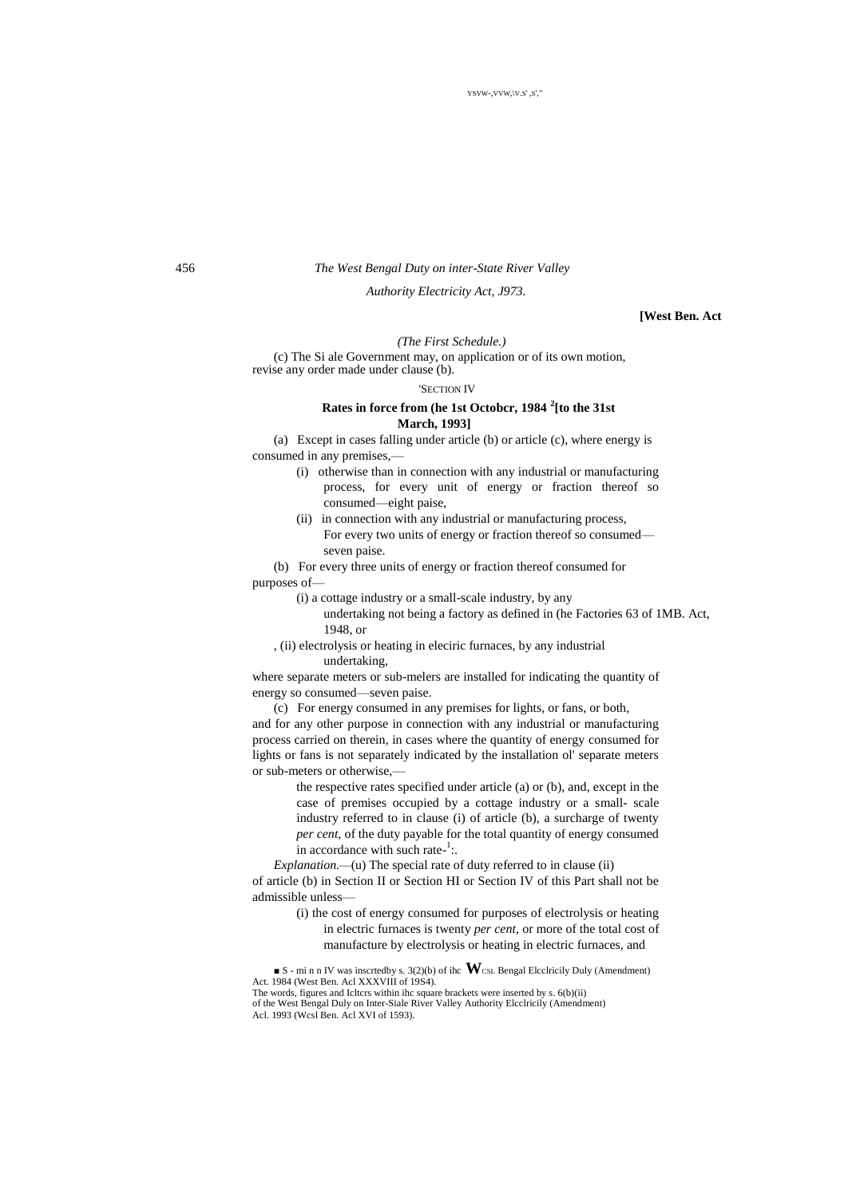# 456 *The West Bengal Duty on inter-State River Valley*

# *Authority Electricity Act, J973.*

#### **[West Ben. Act**

#### *(The First Schedule.)*

(c) The Si ale Government may, on application or of its own motion, revise any order made under clause (b).

'SECTION IV

# **Rates in force from (he 1st Octobcr, 1984 <sup>2</sup> [to the 31st March, 1993]**

(a) Except in cases falling under article (b) or article (c), where energy is consumed in any premises,—

- (i) otherwise than in connection with any industrial or manufacturing process, for every unit of energy or fraction thereof so consumed—eight paise,
- (ii) in connection with any industrial or manufacturing process, For every two units of energy or fraction thereof so consumed seven paise.

(b) For every three units of energy or fraction thereof consumed for purposes of—

- (i) a cottage industry or a small-scale industry, by any
	- undertaking not being a factory as defined in (he Factories 63 of 1MB. Act, 1948, or
- , (ii) electrolysis or heating in eleciric furnaces, by any industrial undertaking,

where separate meters or sub-melers are installed for indicating the quantity of energy so consumed—seven paise.

(c) For energy consumed in any premises for lights, or fans, or both, and for any other purpose in connection with any industrial or manufacturing process carried on therein, in cases where the quantity of energy consumed for lights or fans is not separately indicated by the installation ol' separate meters or sub-meters or otherwise,—

the respective rates specified under article (a) or (b), and, except in the case of premises occupied by a cottage industry or a small- scale industry referred to in clause (i) of article (b), a surcharge of twenty *per cent,* of the duty payable for the total quantity of energy consumed in accordance with such rate- $\frac{1}{1}$ .

*Explanation.—*(u) The special rate of duty referred to in clause (ii)

of article (b) in Section II or Section HI or Section IV of this Part shall not be admissible unless—

> (i) the cost of energy consumed for purposes of electrolysis or heating in electric furnaces is twenty *per cent,* or more of the total cost of manufacture by electrolysis or heating in electric furnaces, and

■ S - mi n n IV was inscrtedby s. 3(2)(b) of ihc **W**CSL Bengal Elcclricily Duly (Amendment) Act. 1984 (West Ben. Acl XXXVIII of 19S4).

The words, figures and Icltcrs within ihc square brackets were inserted by s. 6(b)(ii) of the West Bengal Duly on Inter-Siale River Valley Authority Elcclricily (Amendment) Acl. 1993 (Wcsl Ben. Acl XVI of 1593).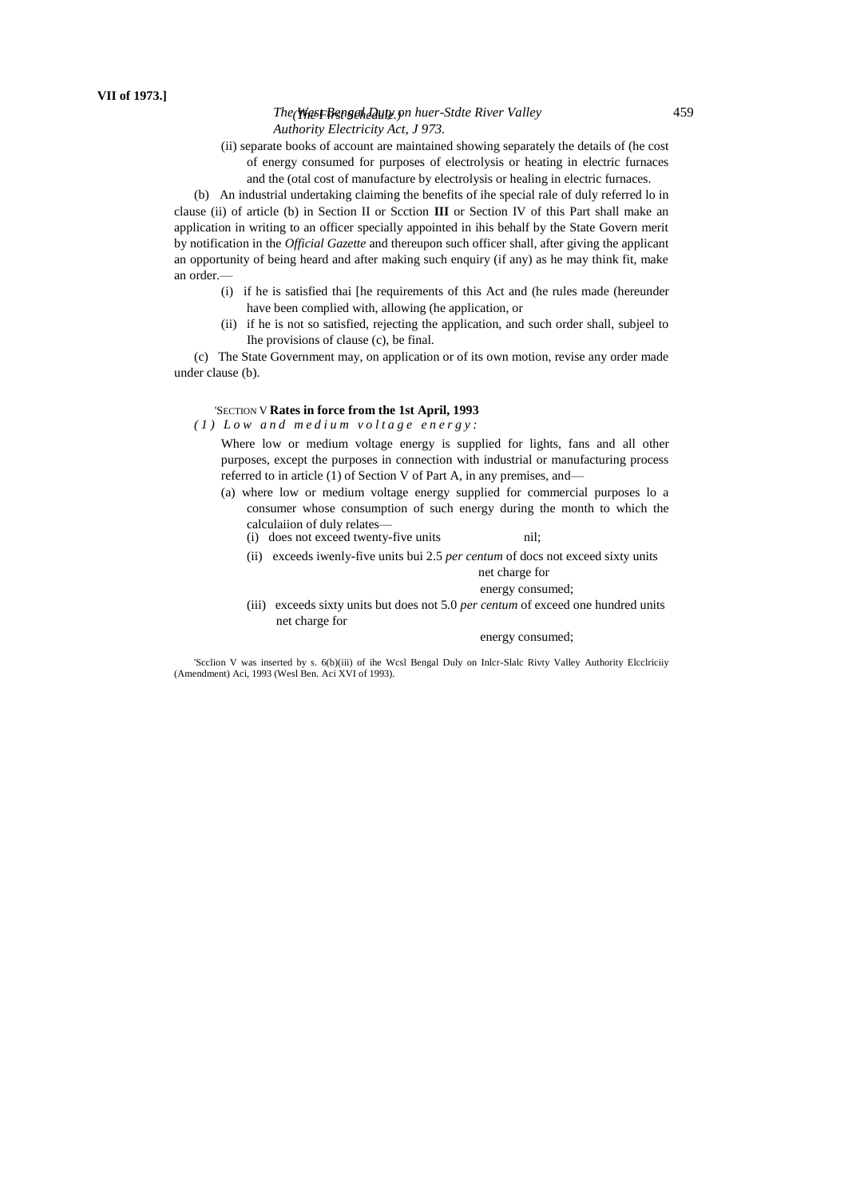# **The West Bengal Duty** on huer-Stdte River Valley 459 *Authority Electricity Act, J 973.*

(ii) separate books of account are maintained showing separately the details of (he cost of energy consumed for purposes of electrolysis or heating in electric furnaces and the (otal cost of manufacture by electrolysis or healing in electric furnaces.

(b) An industrial undertaking claiming the benefits of ihe special rale of duly referred lo in clause (ii) of article (b) in Section II or Scction **III** or Section IV of this Part shall make an application in writing to an officer specially appointed in ihis behalf by the State Govern merit by notification in the *Official Gazette* and thereupon such officer shall, after giving the applicant an opportunity of being heard and after making such enquiry (if any) as he may think fit, make an order.—

- (i) if he is satisfied thai [he requirements of this Act and (he rules made (hereunder have been complied with, allowing (he application, or
- (ii) if he is not so satisfied, rejecting the application, and such order shall, subjeel to Ihe provisions of clause (c), be final.

(c) The State Government may, on application or of its own motion, revise any order made under clause (b).

# 'SECTION V **Rates in force from the 1st April, 1993**

*( 1 ) L o w a n d m e d i u m v o l t a g e e n e r g y :*

Where low or medium voltage energy is supplied for lights, fans and all other purposes, except the purposes in connection with industrial or manufacturing process referred to in article (1) of Section V of Part A, in any premises, and—

- (a) where low or medium voltage energy supplied for commercial purposes lo a consumer whose consumption of such energy during the month to which the calculaiion of duly relates—
	- (i) does not exceed twenty-five units nil;
	- (ii) exceeds iwenly-five units bui 2.5 *per centum* of docs not exceed sixty units net charge for

#### energy consumed;

(iii) exceeds sixty units but does not 5.0 *per centum* of exceed one hundred units net charge for

#### energy consumed;

'Scclion V was inserted by s. 6(b)(iii) of ihe Wcsl Bengal Duly on Inlcr-Slalc Rivty Valley Authority Elcclriciiy (Amendment) Aci, 1993 (Wesl Ben. Aci XVI of 1993).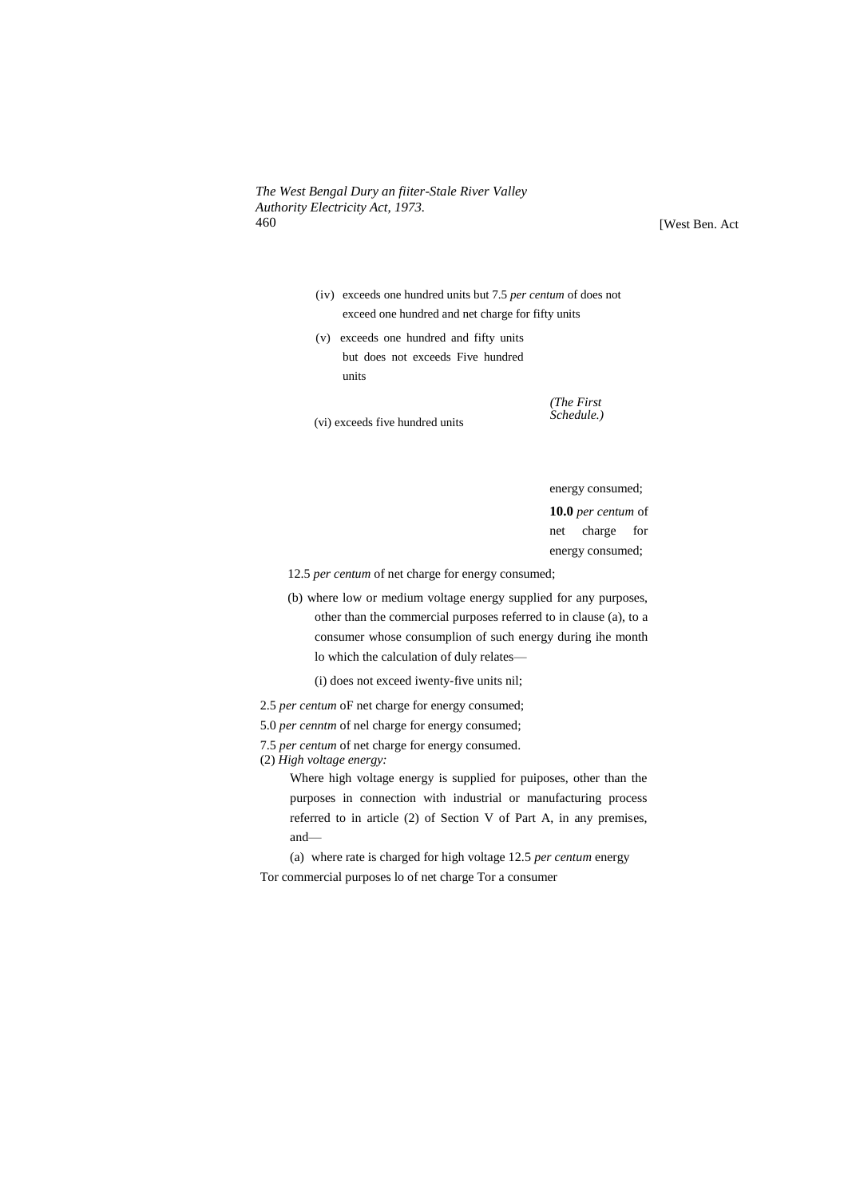[West Ben. Act

- (iv) exceeds one hundred units but 7.5 *per centum* of does not exceed one hundred and net charge for fifty units
- (v) exceeds one hundred and fifty units but does not exceeds Five hundred units

(vi) exceeds five hundred units

energy consumed;

*(The First Schedule.)*

**10.0** *per centum* of net charge for energy consumed;

12.5 *per centum* of net charge for energy consumed;

(b) where low or medium voltage energy supplied for any purposes, other than the commercial purposes referred to in clause (a), to a consumer whose consumplion of such energy during ihe month lo which the calculation of duly relates—

(i) does not exceed iwenty-five units nil;

- 2.5 *per centum* oF net charge for energy consumed;
- 5.0 *per cenntm* of nel charge for energy consumed;
- 7.5 *per centum* of net charge for energy consumed.
- (2) *High voltage energy:*

Where high voltage energy is supplied for puiposes, other than the purposes in connection with industrial or manufacturing process referred to in article (2) of Section V of Part A, in any premises, and—

(a) where rate is charged for high voltage 12.5 *per centum* energy Tor commercial purposes lo of net charge Tor a consumer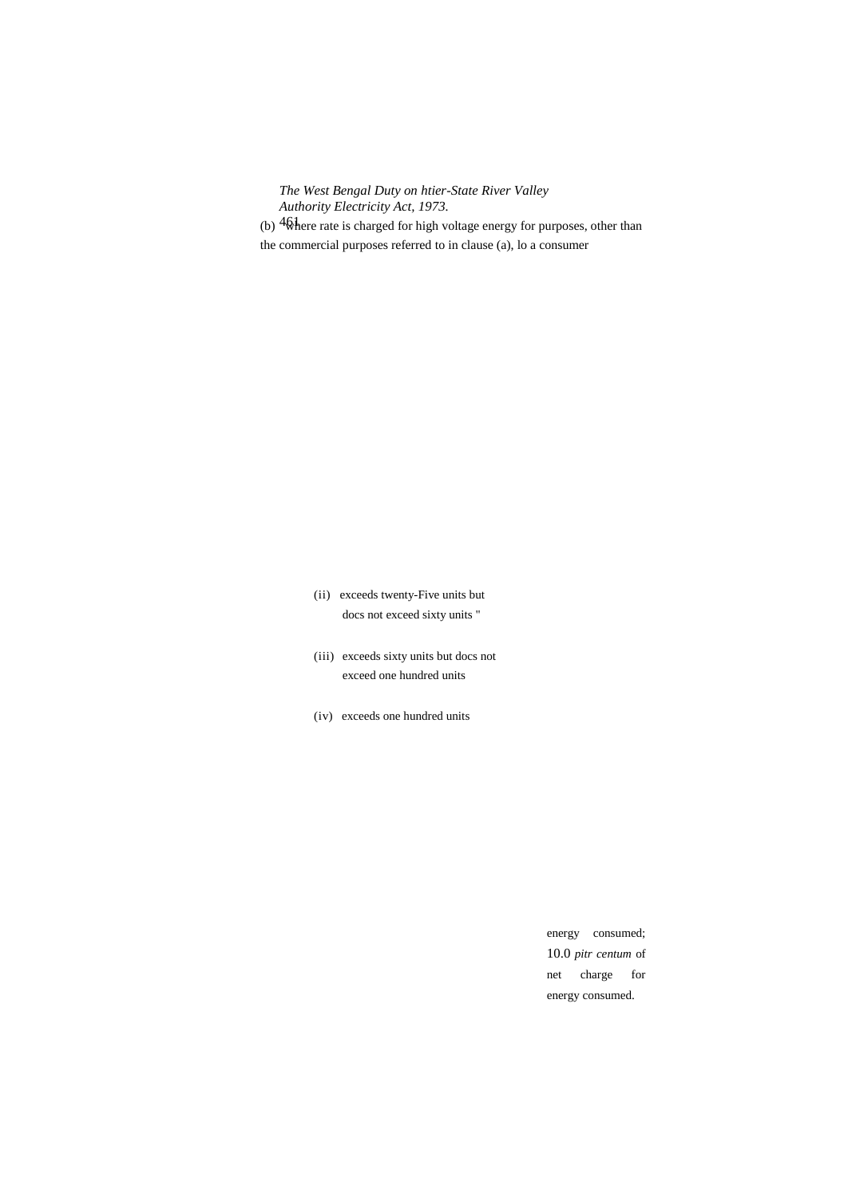(b)  $46$  here rate is charged for high voltage energy for purposes, other than the commercial purposes referred to in clause (a), lo a consumer

> (ii) exceeds twenty-Five units but docs not exceed sixty units "

- (iii) exceeds sixty units but docs not exceed one hundred units
- (iv) exceeds one hundred units

energy consumed; 10.0 *pitr centum* of net charge for energy consumed.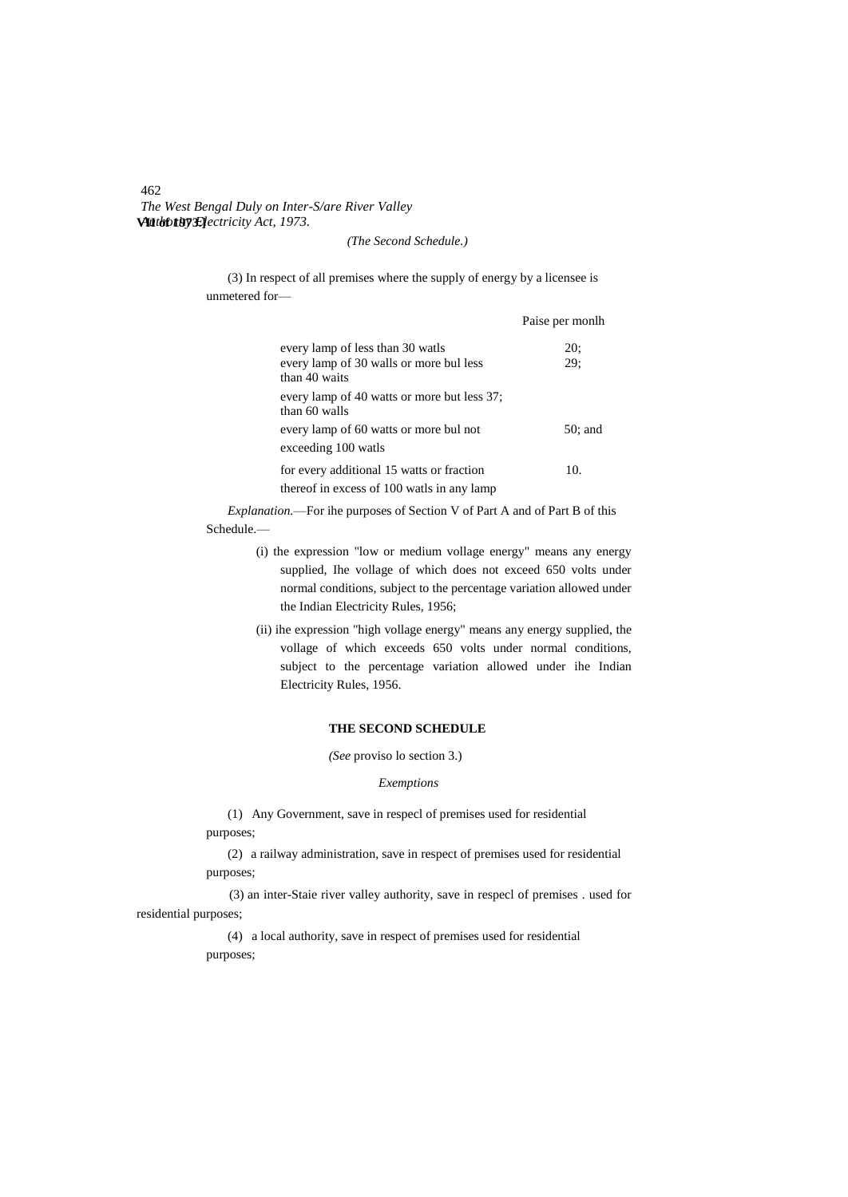# 462 *The West Bengal Duly on Inter-S/are River Valley* **VII of 1973.]** *Authority Electricity Act, 1973.*

# *(The Second Schedule.)*

(3) In respect of all premises where the supply of energy by a licensee is unmetered for—

|                                                              | Paise per monlh |
|--------------------------------------------------------------|-----------------|
| every lamp of less than 30 watls                             | 20:             |
| every lamp of 30 walls or more bul less<br>than 40 waits     | 29:             |
| every lamp of 40 watts or more but less 37;<br>than 60 walls |                 |
| every lamp of 60 watts or more bul not                       | 50: and         |
| exceeding 100 watls                                          |                 |
| for every additional 15 watts or fraction                    | 10.             |
| thereof in excess of 100 watls in any lamp                   |                 |

*Explanation.*—For ihe purposes of Section V of Part A and of Part B of this Schedule.—

- (i) the expression "low or medium vollage energy" means any energy supplied, Ihe vollage of which does not exceed 650 volts under normal conditions, subject to the percentage variation allowed under the Indian Electricity Rules, 1956;
- (ii) ihe expression "high vollage energy" means any energy supplied, the vollage of which exceeds 650 volts under normal conditions, subject to the percentage variation allowed under ihe Indian Electricity Rules, 1956.

# **THE SECOND SCHEDULE**

*(See* proviso lo section 3.)

#### *Exemptions*

(1) Any Government, save in respecl of premises used for residential purposes;

(2) a railway administration, save in respect of premises used for residential purposes;

(3) an inter-Staie river valley authority, save in respecl of premises . used for residential purposes;

> (4) a local authority, save in respect of premises used for residential purposes;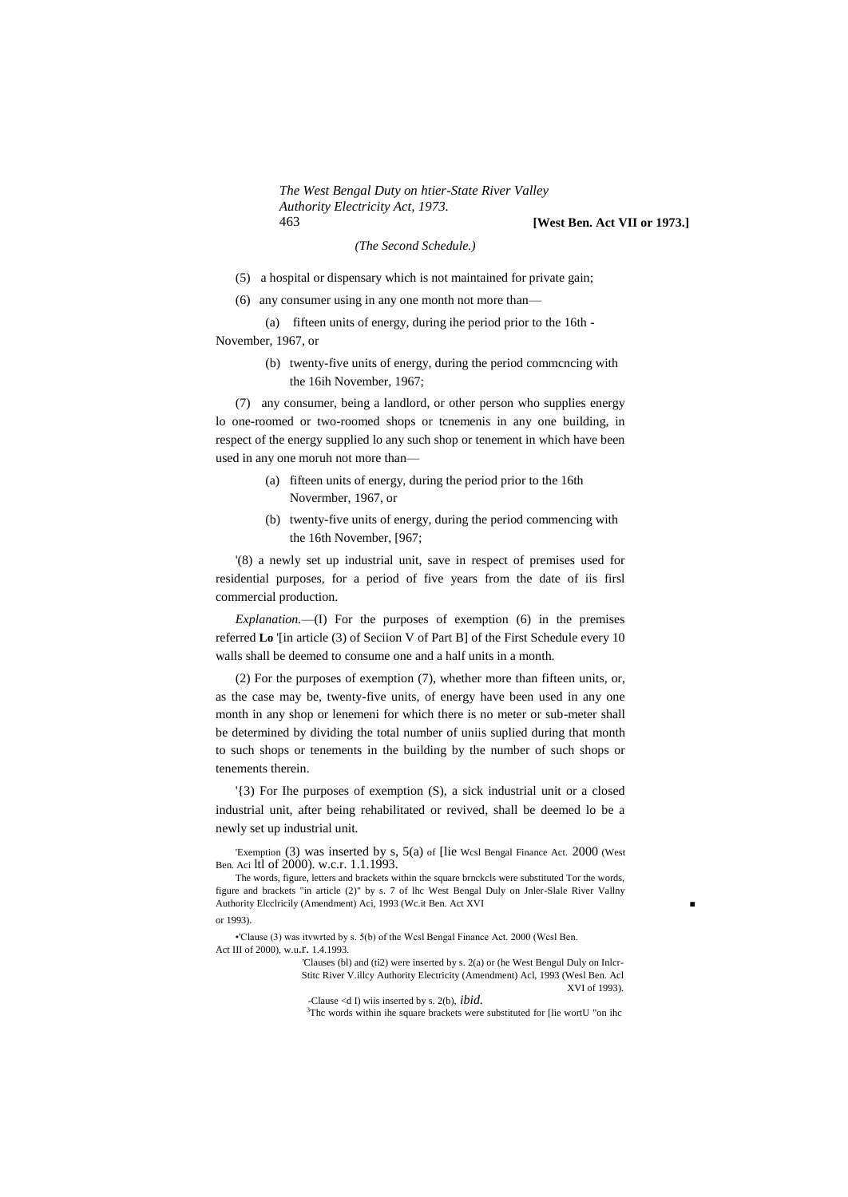*The West Bengal Duty on htier-State River Valley Authority Electricity Act, 1973.* 463 **[West Ben. Act VII or 1973.]**

#### *(The Second Schedule.)*

- (5) a hospital or dispensary which is not maintained for private gain;
- (6) any consumer using in any one month not more than—

(a) fifteen units of energy, during ihe period prior to the 16th - November, 1967, or

> (b) twenty-five units of energy, during the period commcncing with the 16ih November, 1967;

(7) any consumer, being a landlord, or other person who supplies energy lo one-roomed or two-roomed shops or tcnemenis in any one building, in respect of the energy supplied lo any such shop or tenement in which have been used in any one moruh not more than—

- (a) fifteen units of energy, during the period prior to the 16th Novermber, 1967, or
- (b) twenty-five units of energy, during the period commencing with the 16th November, [967;

'(8) a newly set up industrial unit, save in respect of premises used for residential purposes, for a period of five years from the date of iis firsl commercial production.

*Explanation.*—(I) For the purposes of exemption (6) in the premises referred **Lo** '[in article (3) of Seciion V of Part B] of the First Schedule every 10 walls shall be deemed to consume one and a half units in a month.

(2) For the purposes of exemption (7), whether more than fifteen units, or, as the case may be, twenty-five units, of energy have been used in any one month in any shop or lenemeni for which there is no meter or sub-meter shall be determined by dividing the total number of uniis suplied during that month to such shops or tenements in the building by the number of such shops or tenements therein.

'{3) For Ihe purposes of exemption (S), a sick industrial unit or a closed industrial unit, after being rehabilitated or revived, shall be deemed lo be a newly set up industrial unit.

'Exemption (3) was inserted by s, 5(a) of [lie Wcsl Bengal Finance Act. 2000 (West Ben. Aci ltl of 2000). w.c.r. 1.1.1993.

The words, figure, letters and brackets within the square brnckcls were substituted Tor the words, figure and brackets "in article (2)" by s. 7 of lhc West Bengal Duly on Jnler-Slale River Vallny Authority Elcclricily (Amendment) Aci, 1993 (Wc.it Ben. Act XVI ■ or 1993).

•'Clause (3) was itvwrted by s. 5(b) of the Wcsl Bengal Finance Act. 2000 (Wcsl Ben. Act III of 2000), w.u.r. 1.4.1993.

'Clauses (bl) and (ti2) were inserted by s. 2(a) or (he West Bengul Duly on Inlcr-Stitc River V.illcy Authority Electricity (Amendment) Acl, 1993 (Wesl Ben. Acl XVI of 1993).

-Clause <d I) wiis inserted by s. 2(b), *ibid.*

<sup>3</sup>Thc words within ihe square brackets were substituted for [lie wortU "on ihc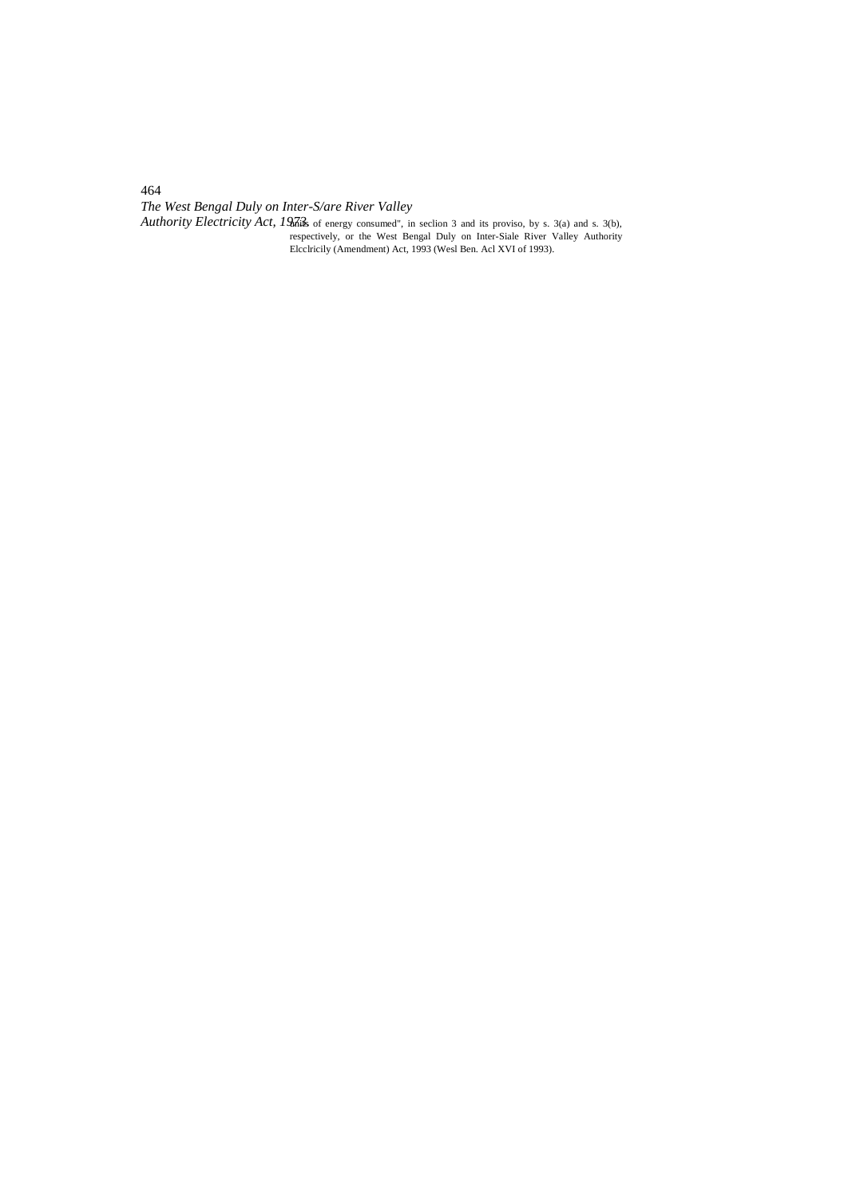*The West Bengal Duly on Inter-S/are River Valley*

*Authority Electricity Act, 1973.* Is of energy consumed", in seclion 3 and its proviso, by s. 3(a) and s. 3(b), respectively, or the West Bengal Duly on Inter-Siale River Valley Authority Elcclricily (Amendment) Act, 1993 (Wesl Ben. Acl XVI of 1993).

464